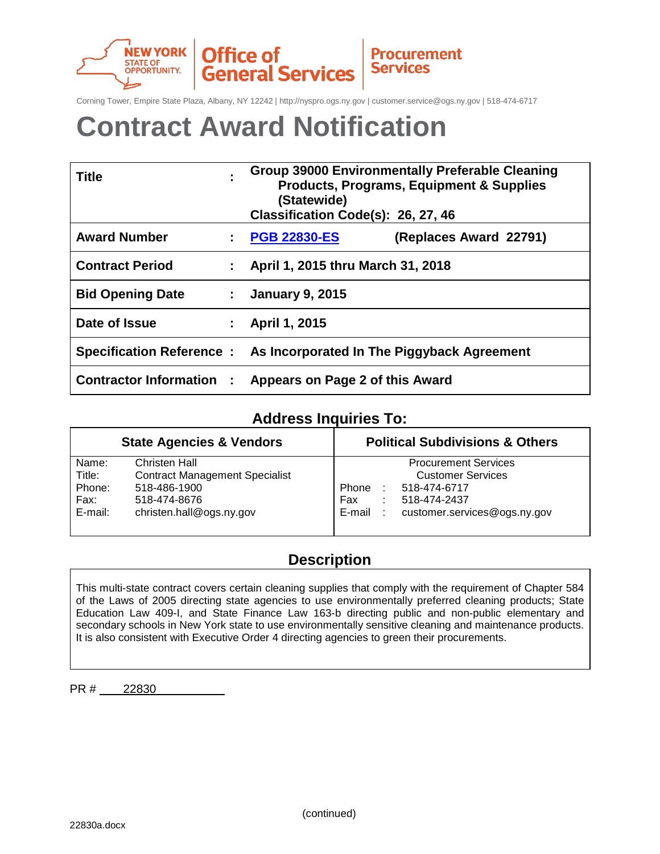

Corning Tower, Empire State Plaza, Albany, NY 12242 | http://nyspro.ogs.ny.gov | customer.service@ogs.ny.gov | 518-474-6717

**Procurement** 

**Services** 

# **Contract Award Notification**

| <b>Title</b>                  |                    | <b>Group 39000 Environmentally Preferable Cleaning</b><br><b>Products, Programs, Equipment &amp; Supplies</b><br>(Statewide)<br>Classification Code(s): 26, 27, 46 |  |  |
|-------------------------------|--------------------|--------------------------------------------------------------------------------------------------------------------------------------------------------------------|--|--|
| <b>Award Number</b>           | $\mathbf{1}$       | <b>PGB 22830-ES</b><br>(Replaces Award 22791)                                                                                                                      |  |  |
| <b>Contract Period</b>        |                    | April 1, 2015 thru March 31, 2018                                                                                                                                  |  |  |
| <b>Bid Opening Date</b>       | $\mathbb{Z}^{n-1}$ | <b>January 9, 2015</b>                                                                                                                                             |  |  |
| Date of Issue                 |                    | April 1, 2015                                                                                                                                                      |  |  |
|                               |                    | Specification Reference : As Incorporated In The Piggyback Agreement                                                                                               |  |  |
| <b>Contractor Information</b> |                    | Appears on Page 2 of this Award                                                                                                                                    |  |  |

### **Address Inquiries To:**

|         | <b>State Agencies &amp; Vendors</b>   | <b>Political Subdivisions &amp; Others</b> |
|---------|---------------------------------------|--------------------------------------------|
| Name:   | Christen Hall                         | <b>Procurement Services</b>                |
| Title:  | <b>Contract Management Specialist</b> | <b>Customer Services</b>                   |
| Phone:  | 518-486-1900                          | Phone<br>518-474-6717                      |
| Fax:    | 518-474-8676                          | Fax<br>518-474-2437                        |
| E-mail: | christen.hall@ogs.ny.gov              | customer.services@ogs.ny.gov<br>E-mail     |

### **Description**

This multi-state contract covers certain cleaning supplies that comply with the requirement of Chapter 584 of the Laws of 2005 directing state agencies to use environmentally preferred cleaning products; State Education Law 409-I, and State Finance Law 163-b directing public and non-public elementary and secondary schools in New York state to use environmentally sensitive cleaning and maintenance products. It is also consistent with Executive Order 4 directing agencies to green their procurements.

PR # 22830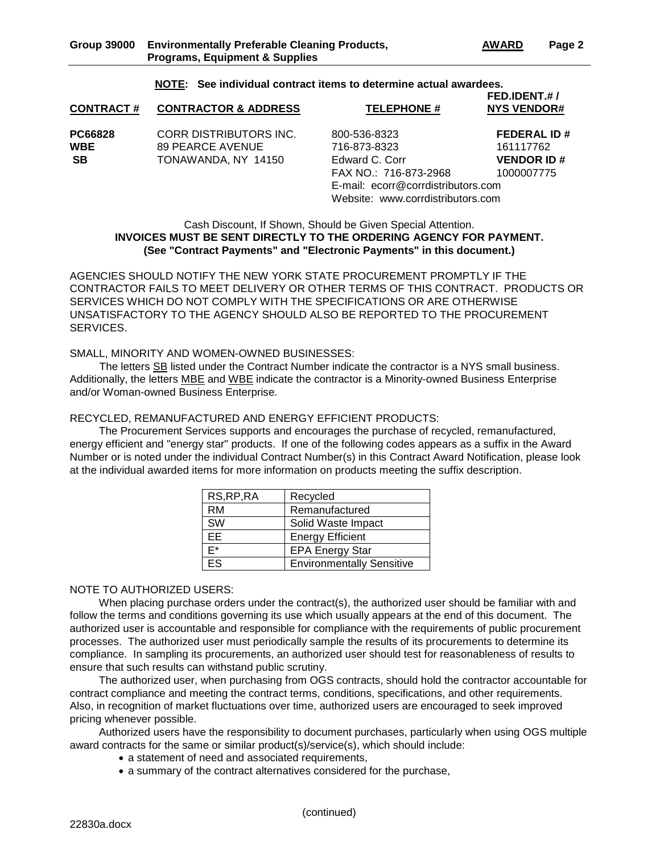#### **NOTE: See individual contract items to determine actual awardees.**

| <b>CONTRACT#</b> | <b>CONTRACTOR &amp; ADDRESS</b> | <b>TELEPHONE #</b>                 | FED.IDENT.#/<br><b>NYS VENDOR#</b> |
|------------------|---------------------------------|------------------------------------|------------------------------------|
| PC66828          | CORR DISTRIBUTORS INC.          | 800-536-8323                       | <b>FEDERAL ID#</b>                 |
| <b>WBE</b>       | 89 PEARCE AVENUE                | 716-873-8323                       | 161117762                          |
| <b>SB</b>        | TONAWANDA, NY 14150             | Edward C. Corr                     | <b>VENDOR ID#</b>                  |
|                  |                                 | FAX NO.: 716-873-2968              | 1000007775                         |
|                  |                                 | E-mail: ecorr@corrdistributors.com |                                    |
|                  |                                 | Website: www.corrdistributors.com  |                                    |

#### Cash Discount, If Shown, Should be Given Special Attention. **INVOICES MUST BE SENT DIRECTLY TO THE ORDERING AGENCY FOR PAYMENT. (See "Contract Payments" and "Electronic Payments" in this document.)**

AGENCIES SHOULD NOTIFY THE NEW YORK STATE PROCUREMENT PROMPTLY IF THE CONTRACTOR FAILS TO MEET DELIVERY OR OTHER TERMS OF THIS CONTRACT. PRODUCTS OR SERVICES WHICH DO NOT COMPLY WITH THE SPECIFICATIONS OR ARE OTHERWISE UNSATISFACTORY TO THE AGENCY SHOULD ALSO BE REPORTED TO THE PROCUREMENT SERVICES.

SMALL, MINORITY AND WOMEN-OWNED BUSINESSES:

The letters SB listed under the Contract Number indicate the contractor is a NYS small business. Additionally, the letters MBE and WBE indicate the contractor is a Minority-owned Business Enterprise and/or Woman-owned Business Enterprise.

#### RECYCLED, REMANUFACTURED AND ENERGY EFFICIENT PRODUCTS:

The Procurement Services supports and encourages the purchase of recycled, remanufactured, energy efficient and "energy star" products. If one of the following codes appears as a suffix in the Award Number or is noted under the individual Contract Number(s) in this Contract Award Notification, please look at the individual awarded items for more information on products meeting the suffix description.

| RS, RP, RA | Recycled                         |
|------------|----------------------------------|
| <b>RM</b>  | Remanufactured                   |
| <b>SW</b>  | Solid Waste Impact               |
| EE         | <b>Energy Efficient</b>          |
| F*         | <b>EPA Energy Star</b>           |
| FS         | <b>Environmentally Sensitive</b> |

#### NOTE TO AUTHORIZED USERS:

When placing purchase orders under the contract(s), the authorized user should be familiar with and follow the terms and conditions governing its use which usually appears at the end of this document. The authorized user is accountable and responsible for compliance with the requirements of public procurement processes. The authorized user must periodically sample the results of its procurements to determine its compliance. In sampling its procurements, an authorized user should test for reasonableness of results to ensure that such results can withstand public scrutiny.

The authorized user, when purchasing from OGS contracts, should hold the contractor accountable for contract compliance and meeting the contract terms, conditions, specifications, and other requirements. Also, in recognition of market fluctuations over time, authorized users are encouraged to seek improved pricing whenever possible.

Authorized users have the responsibility to document purchases, particularly when using OGS multiple award contracts for the same or similar product(s)/service(s), which should include:

- a statement of need and associated requirements,
- a summary of the contract alternatives considered for the purchase,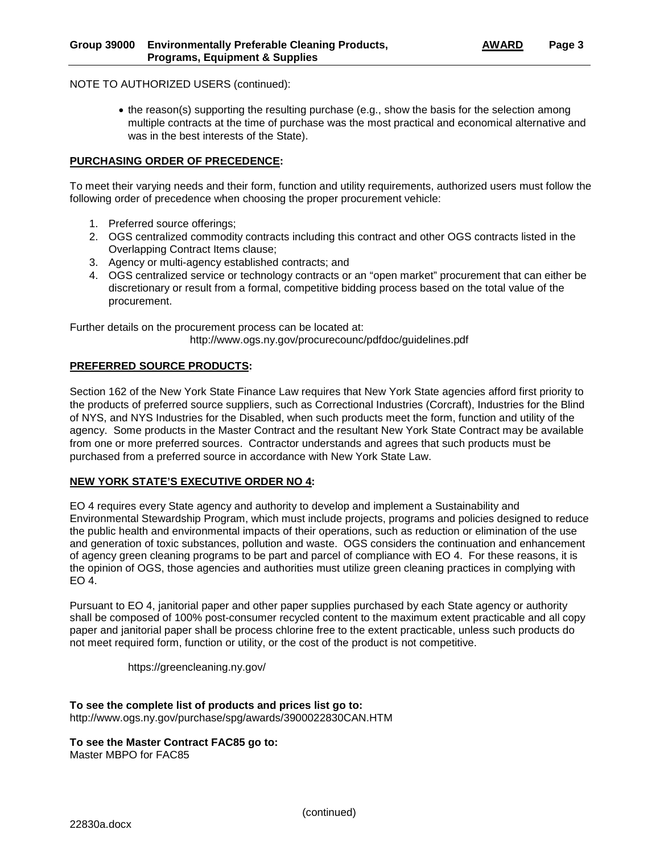#### NOTE TO AUTHORIZED USERS (continued):

• the reason(s) supporting the resulting purchase (e.g., show the basis for the selection among multiple contracts at the time of purchase was the most practical and economical alternative and was in the best interests of the State).

#### **PURCHASING ORDER OF PRECEDENCE:**

To meet their varying needs and their form, function and utility requirements, authorized users must follow the following order of precedence when choosing the proper procurement vehicle:

- 1. Preferred source offerings;
- 2. OGS centralized commodity contracts including this contract and other OGS contracts listed in the Overlapping Contract Items clause;
- 3. Agency or multi-agency established contracts; and
- 4. OGS centralized service or technology contracts or an "open market" procurement that can either be discretionary or result from a formal, competitive bidding process based on the total value of the procurement.

Further details on the procurement process can be located at:

http://www.ogs.ny.gov/procurecounc/pdfdoc/guidelines.pdf

#### **PREFERRED SOURCE PRODUCTS:**

Section 162 of the New York State Finance Law requires that New York State agencies afford first priority to the products of preferred source suppliers, such as Correctional Industries (Corcraft), Industries for the Blind of NYS, and NYS Industries for the Disabled, when such products meet the form, function and utility of the agency. Some products in the Master Contract and the resultant New York State Contract may be available from one or more preferred sources. Contractor understands and agrees that such products must be purchased from a preferred source in accordance with New York State Law.

#### **NEW YORK STATE'S EXECUTIVE ORDER NO 4:**

EO 4 requires every State agency and authority to develop and implement a Sustainability and Environmental Stewardship Program, which must include projects, programs and policies designed to reduce the public health and environmental impacts of their operations, such as reduction or elimination of the use and generation of toxic substances, pollution and waste. OGS considers the continuation and enhancement of agency green cleaning programs to be part and parcel of compliance with EO 4. For these reasons, it is the opinion of OGS, those agencies and authorities must utilize green cleaning practices in complying with EO 4.

Pursuant to EO 4, janitorial paper and other paper supplies purchased by each State agency or authority shall be composed of 100% post-consumer recycled content to the maximum extent practicable and all copy paper and janitorial paper shall be process chlorine free to the extent practicable, unless such products do not meet required form, function or utility, or the cost of the product is not competitive.

https://greencleaning.ny.gov/

**To see the complete list of products and prices list go to:**  http://www.ogs.ny.gov/purchase/spg/awards/3900022830CAN.HTM

**To see the Master Contract FAC85 go to:**  Master MBPO for FAC85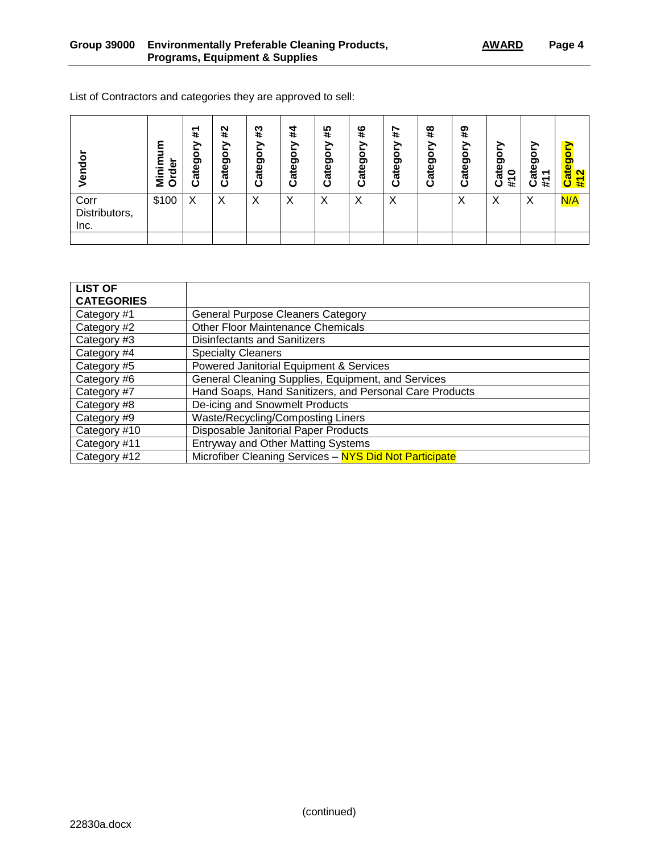| List of Contractors and categories they are approved to sell: |  |
|---------------------------------------------------------------|--|
|                                                               |  |

| Vendor                        | ε<br>Φ<br>--<br>ਹ<br>Σō | #<br>ategory<br>د | #2<br>><br>Categor | #3<br>ategor<br>ပ | #4<br>Category | #5<br>⋋<br>৯<br>ateg<br>↩ | #6<br>Category | 4#<br>><br>৯<br>Ō<br><b>Cate</b> | #8<br>Category | #9<br>Categor | Category<br>#10 | ategor<br>᠇<br>#<br>ں | Category<br>$\overline{\mathbf{N}}$<br>君 |
|-------------------------------|-------------------------|-------------------|--------------------|-------------------|----------------|---------------------------|----------------|----------------------------------|----------------|---------------|-----------------|-----------------------|------------------------------------------|
| Corr<br>Distributors,<br>Inc. | \$100                   | X                 | X                  | Χ                 | Х              | Х                         | Х              | Х                                |                | Χ             | ⋏               | Х                     | N/A                                      |

| <b>LIST OF</b><br><b>CATEGORIES</b> |                                                         |
|-------------------------------------|---------------------------------------------------------|
| Category #1                         | <b>General Purpose Cleaners Category</b>                |
| Category #2                         | <b>Other Floor Maintenance Chemicals</b>                |
| Category #3                         | <b>Disinfectants and Sanitizers</b>                     |
| Category #4                         | <b>Specialty Cleaners</b>                               |
| Category #5                         | Powered Janitorial Equipment & Services                 |
| Category #6                         | General Cleaning Supplies, Equipment, and Services      |
| Category #7                         | Hand Soaps, Hand Sanitizers, and Personal Care Products |
| Category #8                         | De-icing and Snowmelt Products                          |
| Category #9                         | Waste/Recycling/Composting Liners                       |
| Category #10                        | Disposable Janitorial Paper Products                    |
| Category #11                        | <b>Entryway and Other Matting Systems</b>               |
| Category #12                        | Microfiber Cleaning Services - NYS Did Not Participate  |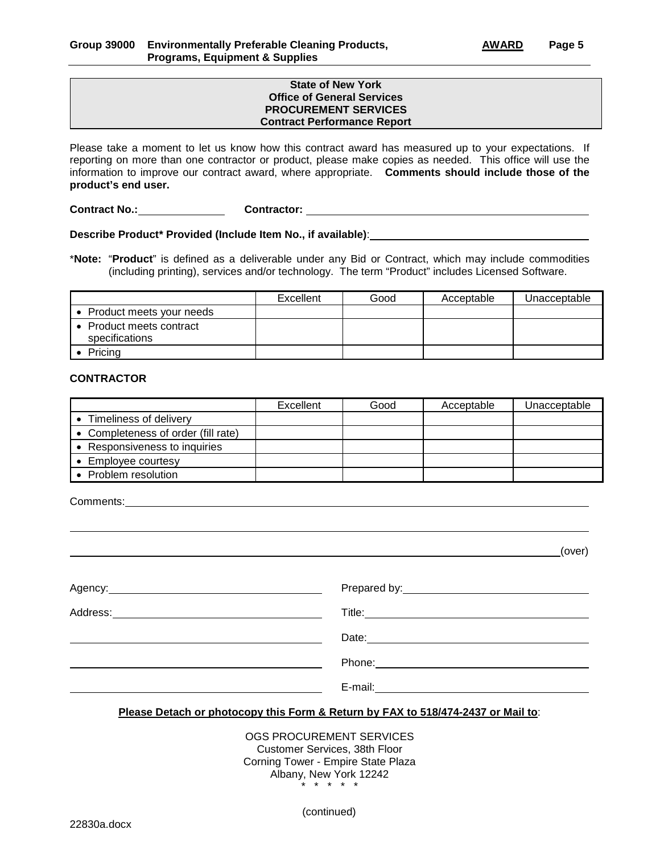#### **State of New York Office of General Services PROCUREMENT SERVICES Contract Performance Report**

Please take a moment to let us know how this contract award has measured up to your expectations. If reporting on more than one contractor or product, please make copies as needed. This office will use the information to improve our contract award, where appropriate. **Comments should include those of the product's end user.**

**Contract No.: Contractor:** 

**Describe Product\* Provided (Include Item No., if available)**:

\***Note:** "**Product**" is defined as a deliverable under any Bid or Contract, which may include commodities (including printing), services and/or technology. The term "Product" includes Licensed Software.

|                                            | Excellent | Good | Acceptable | Unacceptable |
|--------------------------------------------|-----------|------|------------|--------------|
| • Product meets your needs                 |           |      |            |              |
| • Product meets contract<br>specifications |           |      |            |              |
| Pricing                                    |           |      |            |              |

#### **CONTRACTOR**

|                                     | Excellent | Good | Acceptable | Unacceptable |
|-------------------------------------|-----------|------|------------|--------------|
| Timeliness of delivery              |           |      |            |              |
| • Completeness of order (fill rate) |           |      |            |              |
| Responsiveness to inquiries         |           |      |            |              |
| Employee courtesy                   |           |      |            |              |
| Problem resolution                  |           |      |            |              |

Comments:

(over)

| E-mail: |
|---------|

#### **Please Detach or photocopy this Form & Return by FAX to 518/474-2437 or Mail to**:

OGS PROCUREMENT SERVICES Customer Services, 38th Floor Corning Tower - Empire State Plaza Albany, New York 12242 \* \* \* \* \*

(continued)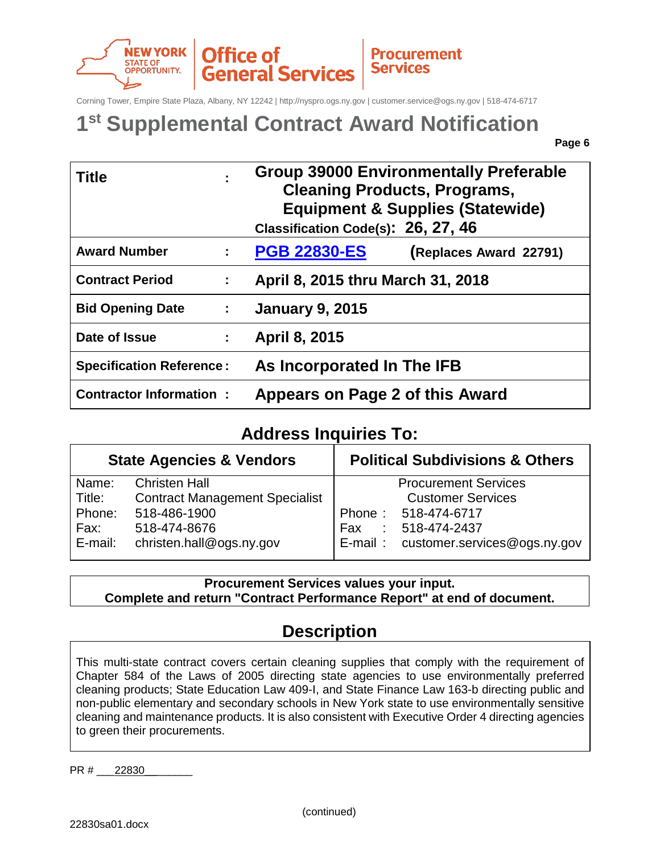

Corning Tower, Empire State Plaza, Albany, NY 12242 | http://nyspro.ogs.ny.gov | customer.service@ogs.ny.gov | 518-474-6717

## **1st Supplemental Contract Award Notification**

**Page 6** 

| <b>Title</b>                                 |    | <b>Group 39000 Environmentally Preferable</b><br><b>Cleaning Products, Programs,</b><br><b>Equipment &amp; Supplies (Statewide)</b><br>Classification Code(s): 26, 27, 46 |  |
|----------------------------------------------|----|---------------------------------------------------------------------------------------------------------------------------------------------------------------------------|--|
| <b>Award Number</b>                          | ÷  | <b>PGB 22830-ES</b><br>(Replaces Award 22791)                                                                                                                             |  |
| <b>Contract Period</b>                       | ÷  | April 8, 2015 thru March 31, 2018                                                                                                                                         |  |
| <b>Bid Opening Date</b><br><b>Contractor</b> |    | <b>January 9, 2015</b>                                                                                                                                                    |  |
| Date of Issue                                | ÷. | April 8, 2015                                                                                                                                                             |  |
| <b>Specification Reference:</b>              |    | As Incorporated In The IFB                                                                                                                                                |  |
| <b>Contractor Information:</b>               |    | Appears on Page 2 of this Award                                                                                                                                           |  |

## **Address Inquiries To:**

|         | <b>State Agencies &amp; Vendors</b>   | <b>Political Subdivisions &amp; Others</b> |
|---------|---------------------------------------|--------------------------------------------|
| Name:   | <b>Christen Hall</b>                  | <b>Procurement Services</b>                |
| Title:  | <b>Contract Management Specialist</b> | <b>Customer Services</b>                   |
| Phone:  | 518-486-1900                          | Phone: 518-474-6717                        |
| Fax:    | 518-474-8676                          | 518-474-2437<br>Fax<br>÷                   |
| E-mail: | christen.hall@ogs.ny.gov              | E-mail: customer.services@ogs.ny.gov       |

**Procurement Services values your input. Complete and return "Contract Performance Report" at end of document.**

## **Description**

This multi-state contract covers certain cleaning supplies that comply with the requirement of Chapter 584 of the Laws of 2005 directing state agencies to use environmentally preferred cleaning products; State Education Law 409-I, and State Finance Law 163-b directing public and non-public elementary and secondary schools in New York state to use environmentally sensitive cleaning and maintenance products. It is also consistent with Executive Order 4 directing agencies to green their procurements.

PR # 22830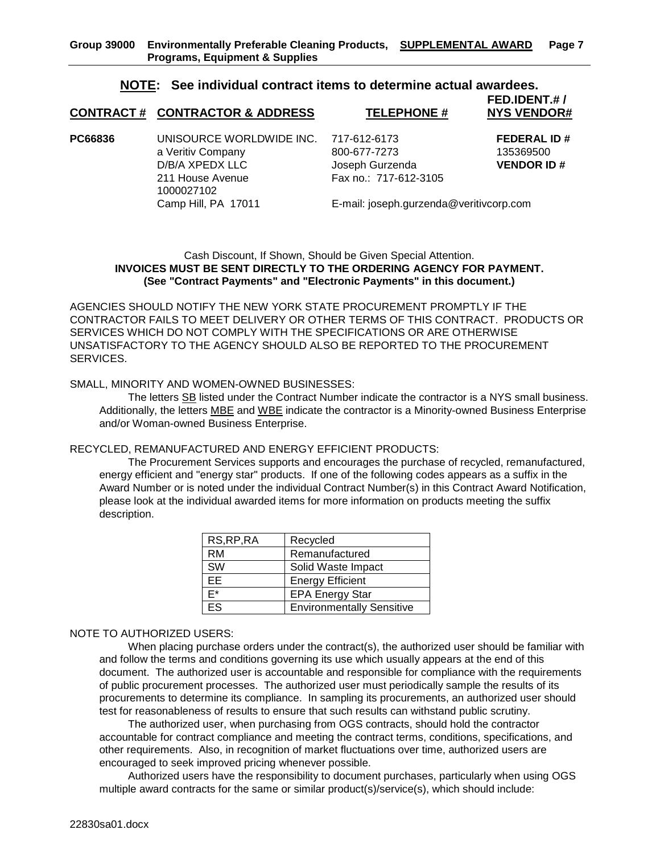#### **NOTE: See individual contract items to determine actual awardees.**

## **FED.IDENT.# / CONTRACT # CONTRACTOR & ADDRESS TELEPHONE #**

**PC66836** UNISOURCE WORLDWIDE INC. 717-612-6173 **FEDERAL ID #** a Veritiv Company 135369500 **800-677-7273** 135369500 D/B/A XPEDX LLC Joseph Gurzenda **VENDOR ID #**<br>211 House Avenue Fax no.: 717-612-3105 1000027102 Camp Hill, PA 17011 E-mail: joseph.gurzenda@veritivcorp.com

Fax no.: 717-612-3105

#### Cash Discount, If Shown, Should be Given Special Attention. **INVOICES MUST BE SENT DIRECTLY TO THE ORDERING AGENCY FOR PAYMENT. (See "Contract Payments" and "Electronic Payments" in this document.)**

AGENCIES SHOULD NOTIFY THE NEW YORK STATE PROCUREMENT PROMPTLY IF THE CONTRACTOR FAILS TO MEET DELIVERY OR OTHER TERMS OF THIS CONTRACT. PRODUCTS OR SERVICES WHICH DO NOT COMPLY WITH THE SPECIFICATIONS OR ARE OTHERWISE UNSATISFACTORY TO THE AGENCY SHOULD ALSO BE REPORTED TO THE PROCUREMENT SERVICES.

#### SMALL, MINORITY AND WOMEN-OWNED BUSINESSES:

The letters SB listed under the Contract Number indicate the contractor is a NYS small business. Additionally, the letters MBE and WBE indicate the contractor is a Minority-owned Business Enterprise and/or Woman-owned Business Enterprise.

#### RECYCLED, REMANUFACTURED AND ENERGY EFFICIENT PRODUCTS:

The Procurement Services supports and encourages the purchase of recycled, remanufactured, energy efficient and "energy star" products. If one of the following codes appears as a suffix in the Award Number or is noted under the individual Contract Number(s) in this Contract Award Notification, please look at the individual awarded items for more information on products meeting the suffix description.

| RS, RP, RA | Recycled                         |
|------------|----------------------------------|
| RM         | Remanufactured                   |
| <b>SW</b>  | Solid Waste Impact               |
| FF.        | <b>Energy Efficient</b>          |
| F*         | <b>EPA Energy Star</b>           |
| FS         | <b>Environmentally Sensitive</b> |

#### NOTE TO AUTHORIZED USERS:

When placing purchase orders under the contract(s), the authorized user should be familiar with and follow the terms and conditions governing its use which usually appears at the end of this document. The authorized user is accountable and responsible for compliance with the requirements of public procurement processes. The authorized user must periodically sample the results of its procurements to determine its compliance. In sampling its procurements, an authorized user should test for reasonableness of results to ensure that such results can withstand public scrutiny.

The authorized user, when purchasing from OGS contracts, should hold the contractor accountable for contract compliance and meeting the contract terms, conditions, specifications, and other requirements. Also, in recognition of market fluctuations over time, authorized users are encouraged to seek improved pricing whenever possible.

Authorized users have the responsibility to document purchases, particularly when using OGS multiple award contracts for the same or similar product(s)/service(s), which should include: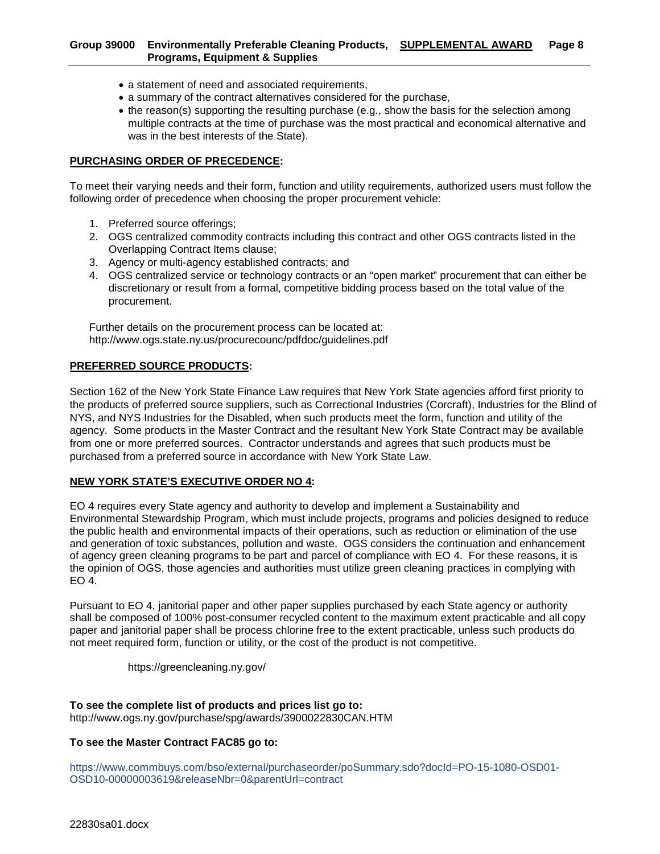#### **Group 39000 Environmentally Preferable Cleaning Products, SUPPLEMENTAL AWARD Page 8 Programs, Equipment & Supplies**

- a statement of need and associated requirements,
- a summary of the contract alternatives considered for the purchase,
- the reason(s) supporting the resulting purchase (e.g., show the basis for the selection among multiple contracts at the time of purchase was the most practical and economical alternative and was in the best interests of the State).

#### **PURCHASING ORDER OF PRECEDENCE:**

To meet their varying needs and their form, function and utility requirements, authorized users must follow the following order of precedence when choosing the proper procurement vehicle:

- 1. Preferred source offerings;
- 2. OGS centralized commodity contracts including this contract and other OGS contracts listed in the Overlapping Contract Items clause;
- 3. Agency or multi-agency established contracts; and
- 4. OGS centralized service or technology contracts or an "open market" procurement that can either be discretionary or result from a formal, competitive bidding process based on the total value of the procurement.

Further details on the procurement process can be located at: http://www.ogs.state.ny.us/procurecounc/pdfdoc/guidelines.pdf

#### **PREFERRED SOURCE PRODUCTS:**

Section 162 of the New York State Finance Law requires that New York State agencies afford first priority to the products of preferred source suppliers, such as Correctional Industries (Corcraft), Industries for the Blind of NYS, and NYS Industries for the Disabled, when such products meet the form, function and utility of the agency. Some products in the Master Contract and the resultant New York State Contract may be available from one or more preferred sources. Contractor understands and agrees that such products must be purchased from a preferred source in accordance with New York State Law.

#### **NEW YORK STATE'S EXECUTIVE ORDER NO 4:**

EO 4 requires every State agency and authority to develop and implement a Sustainability and Environmental Stewardship Program, which must include projects, programs and policies designed to reduce the public health and environmental impacts of their operations, such as reduction or elimination of the use and generation of toxic substances, pollution and waste. OGS considers the continuation and enhancement of agency green cleaning programs to be part and parcel of compliance with EO 4. For these reasons, it is the opinion of OGS, those agencies and authorities must utilize green cleaning practices in complying with EO 4.

Pursuant to EO 4, janitorial paper and other paper supplies purchased by each State agency or authority shall be composed of 100% post-consumer recycled content to the maximum extent practicable and all copy paper and janitorial paper shall be process chlorine free to the extent practicable, unless such products do not meet required form, function or utility, or the cost of the product is not competitive.

https://greencleaning.ny.gov/

### **To see the complete list of products and prices list go to:**

http://www.ogs.ny.gov/purchase/spg/awards/3900022830CAN.HTM

#### **To see the Master Contract FAC85 go to:**

https://www.commbuys.com/bso/external/purchaseorder/poSummary.sdo?docId=PO-15-1080-OSD01- OSD10-00000003619&releaseNbr=0&parentUrl=contract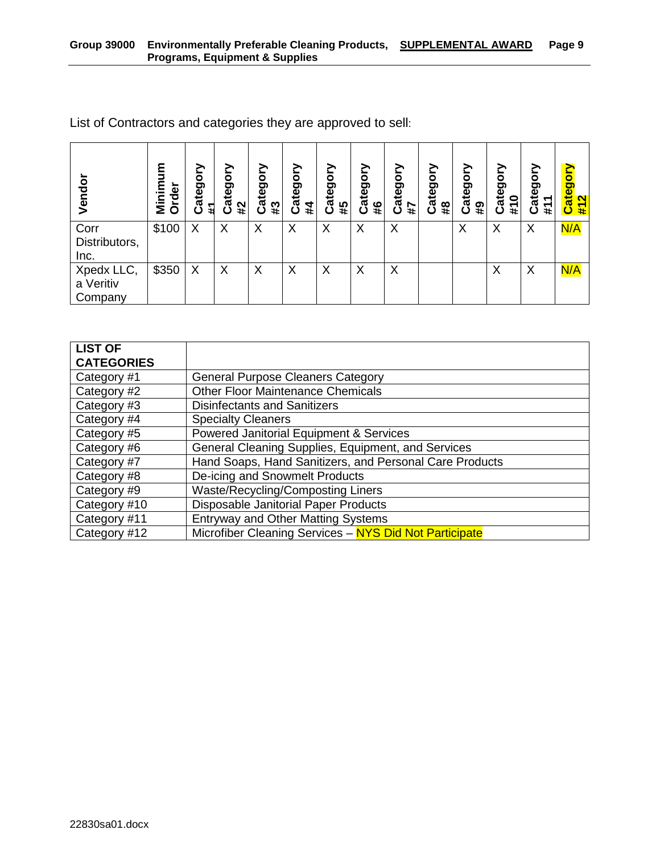| Vendo                              | ξ<br>rder<br>Σ<br>O | Category<br>11 | ۰<br>ē<br>€<br>ᢐ<br>#2<br>ပ | ategory<br>#3<br>ن | Category<br>#4 | Category<br>#5 | Category<br>#6 | ≧<br>O<br>ateg<br>#7<br>ပ | ategory<br>$\overline{\mathbf{a}}$<br>ပ | δ<br>ateg<br>$\overline{4}$ | ategory<br>0<br>#1<br>ပ | ð<br>ateg<br>᠇<br>#<br>ပ | Category<br>$\mathbf{\Omega}$<br>$\frac{4}{1}$ |
|------------------------------------|---------------------|----------------|-----------------------------|--------------------|----------------|----------------|----------------|---------------------------|-----------------------------------------|-----------------------------|-------------------------|--------------------------|------------------------------------------------|
| Corr<br>Distributors,<br>Inc.      | \$100               | X              | X                           | X                  | X              | X              | X              | X                         |                                         | Χ                           | X                       | X                        | N/A                                            |
| Xpedx LLC,<br>a Veritiv<br>Company | \$350               | Χ              | X                           | Х                  | Χ              | X              | X              | X                         |                                         |                             | X                       | X                        | N/A                                            |

List of Contractors and categories they are approved to sell:

| <b>LIST OF</b>    |                                                         |
|-------------------|---------------------------------------------------------|
| <b>CATEGORIES</b> |                                                         |
| Category #1       | <b>General Purpose Cleaners Category</b>                |
| Category #2       | <b>Other Floor Maintenance Chemicals</b>                |
| Category #3       | <b>Disinfectants and Sanitizers</b>                     |
| Category #4       | <b>Specialty Cleaners</b>                               |
| Category #5       | <b>Powered Janitorial Equipment &amp; Services</b>      |
| Category #6       | General Cleaning Supplies, Equipment, and Services      |
| Category #7       | Hand Soaps, Hand Sanitizers, and Personal Care Products |
| Category #8       | De-icing and Snowmelt Products                          |
| Category #9       | <b>Waste/Recycling/Composting Liners</b>                |
| Category #10      | Disposable Janitorial Paper Products                    |
| Category #11      | <b>Entryway and Other Matting Systems</b>               |
| Category #12      | Microfiber Cleaning Services - NYS Did Not Participate  |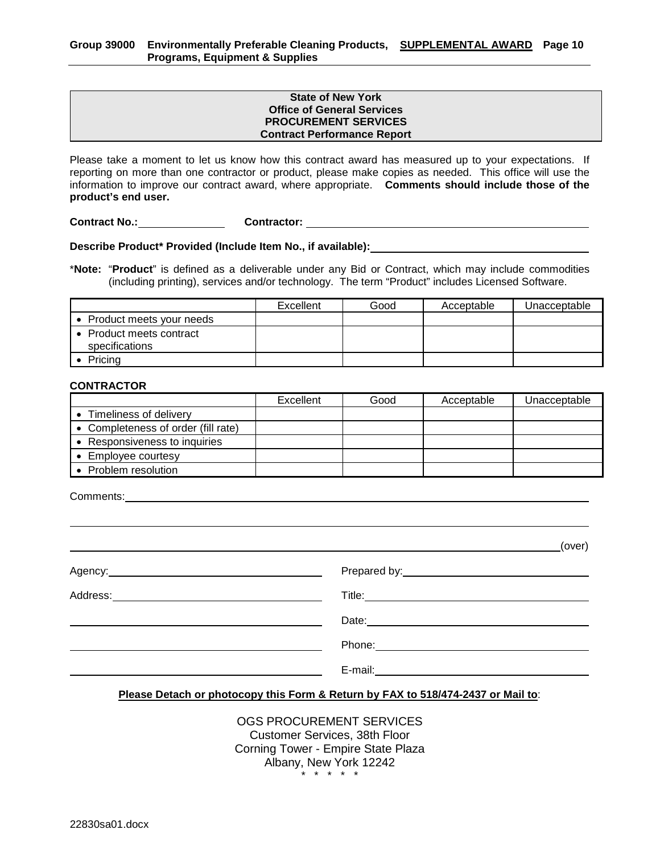#### **State of New York Office of General Services PROCUREMENT SERVICES Contract Performance Report**

Please take a moment to let us know how this contract award has measured up to your expectations. If reporting on more than one contractor or product, please make copies as needed. This office will use the information to improve our contract award, where appropriate. **Comments should include those of the product's end user.**

**Contract No.: Contractor:** 

**Describe Product\* Provided (Include Item No., if available):**

\***Note:** "**Product**" is defined as a deliverable under any Bid or Contract, which may include commodities (including printing), services and/or technology. The term "Product" includes Licensed Software.

|                                            | Excellent | Good | Acceptable | Unacceptable |
|--------------------------------------------|-----------|------|------------|--------------|
| • Product meets your needs                 |           |      |            |              |
| • Product meets contract<br>specifications |           |      |            |              |
| Pricing                                    |           |      |            |              |

#### **CONTRACTOR**

|                                     | Excellent | Good | Acceptable | Unacceptable |
|-------------------------------------|-----------|------|------------|--------------|
| Timeliness of delivery              |           |      |            |              |
| • Completeness of order (fill rate) |           |      |            |              |
| Responsiveness to inquiries         |           |      |            |              |
| Employee courtesy                   |           |      |            |              |
| Problem resolution                  |           |      |            |              |

Comments:

|                                                                                                                                                                                                                                      | (over)                                                                                                                                                                                                                               |
|--------------------------------------------------------------------------------------------------------------------------------------------------------------------------------------------------------------------------------------|--------------------------------------------------------------------------------------------------------------------------------------------------------------------------------------------------------------------------------------|
| Agency: <u>example and a series of the series of the series of the series of the series of the series of the series of the series of the series of the series of the series of the series of the series of the series of the ser</u> |                                                                                                                                                                                                                                      |
|                                                                                                                                                                                                                                      |                                                                                                                                                                                                                                      |
|                                                                                                                                                                                                                                      | Date: <u>contract and a series of the series of the series of the series of the series of the series of the series of the series of the series of the series of the series of the series of the series of the series of the seri</u> |
|                                                                                                                                                                                                                                      |                                                                                                                                                                                                                                      |
|                                                                                                                                                                                                                                      | E-mail: _____________                                                                                                                                                                                                                |

#### **Please Detach or photocopy this Form & Return by FAX to 518/474-2437 or Mail to**:

OGS PROCUREMENT SERVICES Customer Services, 38th Floor Corning Tower - Empire State Plaza Albany, New York 12242 .<br>\* \* \* \* ·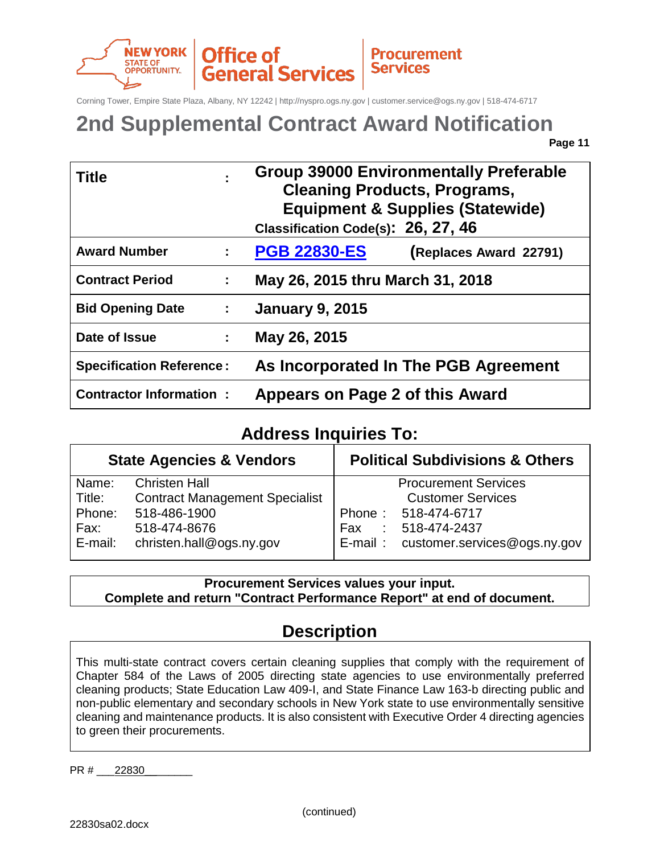

Corning Tower, Empire State Plaza, Albany, NY 12242 | http://nyspro.ogs.ny.gov | customer.service@ogs.ny.gov | 518-474-6717

## **2nd Supplemental Contract Award Notification**

**Page 11**

| <b>Title</b>                    |                               | <b>Group 39000 Environmentally Preferable</b><br><b>Cleaning Products, Programs,</b><br><b>Equipment &amp; Supplies (Statewide)</b><br>Classification Code(s): 26, 27, 46 |  |  |  |  |  |
|---------------------------------|-------------------------------|---------------------------------------------------------------------------------------------------------------------------------------------------------------------------|--|--|--|--|--|
| <b>Award Number</b>             | ÷.                            | <b>PGB 22830-ES</b><br>(Replaces Award 22791)                                                                                                                             |  |  |  |  |  |
| <b>Contract Period</b>          | ÷                             | May 26, 2015 thru March 31, 2018                                                                                                                                          |  |  |  |  |  |
| <b>Bid Opening Date</b>         | $\mathbb{Z}^{\mathbb{Z}^n}$ . | <b>January 9, 2015</b>                                                                                                                                                    |  |  |  |  |  |
| Date of Issue                   | ÷.                            | May 26, 2015                                                                                                                                                              |  |  |  |  |  |
| <b>Specification Reference:</b> |                               | As Incorporated In The PGB Agreement                                                                                                                                      |  |  |  |  |  |
| <b>Contractor Information:</b>  |                               | Appears on Page 2 of this Award                                                                                                                                           |  |  |  |  |  |

## **Address Inquiries To:**

|         | <b>State Agencies &amp; Vendors</b>   | <b>Political Subdivisions &amp; Others</b> |  |
|---------|---------------------------------------|--------------------------------------------|--|
| Name:   | <b>Christen Hall</b>                  | <b>Procurement Services</b>                |  |
| Title:  | <b>Contract Management Specialist</b> | <b>Customer Services</b>                   |  |
| Phone:  | 518-486-1900                          | Phone: 518-474-6717                        |  |
| Fax:    | 518-474-8676                          | 518-474-2437<br>Fax<br>÷                   |  |
| E-mail: | christen.hall@ogs.ny.gov              | E-mail: customer.services@ogs.ny.gov       |  |

**Procurement Services values your input. Complete and return "Contract Performance Report" at end of document.**

## **Description**

This multi-state contract covers certain cleaning supplies that comply with the requirement of Chapter 584 of the Laws of 2005 directing state agencies to use environmentally preferred cleaning products; State Education Law 409-I, and State Finance Law 163-b directing public and non-public elementary and secondary schools in New York state to use environmentally sensitive cleaning and maintenance products. It is also consistent with Executive Order 4 directing agencies to green their procurements.

PR # 22830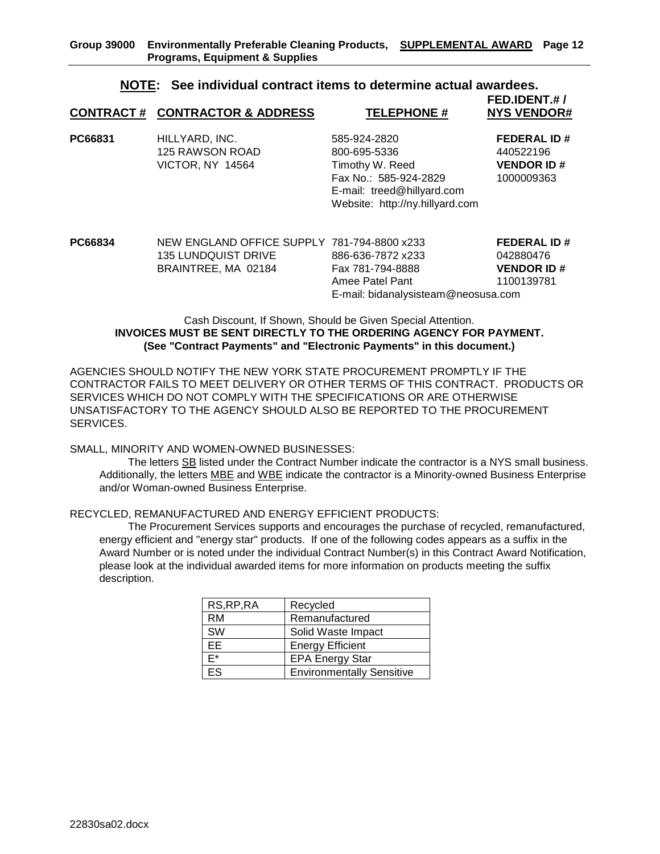#### **NOTE: See individual contract items to determine actual awardees. FED.IDENT.# /**

|         | <b>CONTRACT # CONTRACTOR &amp; ADDRESS</b>                   | <b>TELEPHONE#</b>                                                                                                                         | .<br><b>NYS VENDOR#</b>                                            |
|---------|--------------------------------------------------------------|-------------------------------------------------------------------------------------------------------------------------------------------|--------------------------------------------------------------------|
| PC66831 | HILLYARD, INC.<br>125 RAWSON ROAD<br><b>VICTOR, NY 14564</b> | 585-924-2820<br>800-695-5336<br>Timothy W. Reed<br>Fax No.: 585-924-2829<br>E-mail: treed@hillyard.com<br>Website: http://ny.hillyard.com | <b>FEDERAL ID#</b><br>440522196<br><b>VENDOR ID#</b><br>1000009363 |
|         |                                                              |                                                                                                                                           |                                                                    |

| PC66834 | NEW ENGLAND OFFICE SUPPLY 781-794-8800 x233 |                                     | <b>FEDERAL ID#</b> |
|---------|---------------------------------------------|-------------------------------------|--------------------|
|         | <b>135 LUNDQUIST DRIVE</b>                  | 886-636-7872 x233                   | 042880476          |
|         | BRAINTREE, MA 02184                         | Fax 781-794-8888                    | <b>VENDOR ID#</b>  |
|         |                                             | Amee Patel Pant                     | 1100139781         |
|         |                                             | E-mail: bidanalysisteam@neosusa.com |                    |
|         |                                             |                                     |                    |

#### Cash Discount, If Shown, Should be Given Special Attention. **INVOICES MUST BE SENT DIRECTLY TO THE ORDERING AGENCY FOR PAYMENT. (See "Contract Payments" and "Electronic Payments" in this document.)**

AGENCIES SHOULD NOTIFY THE NEW YORK STATE PROCUREMENT PROMPTLY IF THE CONTRACTOR FAILS TO MEET DELIVERY OR OTHER TERMS OF THIS CONTRACT. PRODUCTS OR SERVICES WHICH DO NOT COMPLY WITH THE SPECIFICATIONS OR ARE OTHERWISE UNSATISFACTORY TO THE AGENCY SHOULD ALSO BE REPORTED TO THE PROCUREMENT SERVICES.

SMALL, MINORITY AND WOMEN-OWNED BUSINESSES:

The letters SB listed under the Contract Number indicate the contractor is a NYS small business. Additionally, the letters MBE and WBE indicate the contractor is a Minority-owned Business Enterprise and/or Woman-owned Business Enterprise.

#### RECYCLED, REMANUFACTURED AND ENERGY EFFICIENT PRODUCTS:

The Procurement Services supports and encourages the purchase of recycled, remanufactured, energy efficient and "energy star" products. If one of the following codes appears as a suffix in the Award Number or is noted under the individual Contract Number(s) in this Contract Award Notification, please look at the individual awarded items for more information on products meeting the suffix description.

| RS, RP, RA | Recycled                         |
|------------|----------------------------------|
| RM         | Remanufactured                   |
| <b>SW</b>  | Solid Waste Impact               |
| EE         | <b>Energy Efficient</b>          |
| F*         | <b>EPA Energy Star</b>           |
| FS         | <b>Environmentally Sensitive</b> |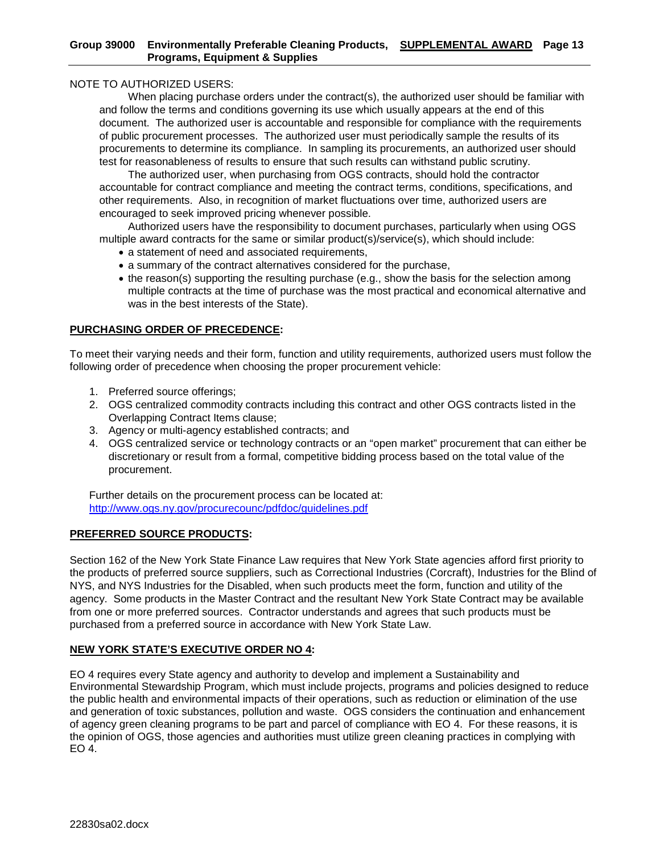#### NOTE TO AUTHORIZED USERS:

When placing purchase orders under the contract(s), the authorized user should be familiar with and follow the terms and conditions governing its use which usually appears at the end of this document. The authorized user is accountable and responsible for compliance with the requirements of public procurement processes. The authorized user must periodically sample the results of its procurements to determine its compliance. In sampling its procurements, an authorized user should test for reasonableness of results to ensure that such results can withstand public scrutiny.

The authorized user, when purchasing from OGS contracts, should hold the contractor accountable for contract compliance and meeting the contract terms, conditions, specifications, and other requirements. Also, in recognition of market fluctuations over time, authorized users are encouraged to seek improved pricing whenever possible.

Authorized users have the responsibility to document purchases, particularly when using OGS multiple award contracts for the same or similar product(s)/service(s), which should include:

- a statement of need and associated requirements,
- a summary of the contract alternatives considered for the purchase,
- the reason(s) supporting the resulting purchase (e.g., show the basis for the selection among multiple contracts at the time of purchase was the most practical and economical alternative and was in the best interests of the State).

#### **PURCHASING ORDER OF PRECEDENCE:**

To meet their varying needs and their form, function and utility requirements, authorized users must follow the following order of precedence when choosing the proper procurement vehicle:

- 1. Preferred source offerings;
- 2. OGS centralized commodity contracts including this contract and other OGS contracts listed in the Overlapping Contract Items clause;
- 3. Agency or multi-agency established contracts; and
- 4. OGS centralized service or technology contracts or an "open market" procurement that can either be discretionary or result from a formal, competitive bidding process based on the total value of the procurement.

Further details on the procurement process can be located at: <http://www.ogs.ny.gov/procurecounc/pdfdoc/guidelines.pdf>

#### **PREFERRED SOURCE PRODUCTS:**

Section 162 of the New York State Finance Law requires that New York State agencies afford first priority to the products of preferred source suppliers, such as Correctional Industries (Corcraft), Industries for the Blind of NYS, and NYS Industries for the Disabled, when such products meet the form, function and utility of the agency. Some products in the Master Contract and the resultant New York State Contract may be available from one or more preferred sources. Contractor understands and agrees that such products must be purchased from a preferred source in accordance with New York State Law.

#### **NEW YORK STATE'S EXECUTIVE ORDER NO 4:**

EO 4 requires every State agency and authority to develop and implement a Sustainability and Environmental Stewardship Program, which must include projects, programs and policies designed to reduce the public health and environmental impacts of their operations, such as reduction or elimination of the use and generation of toxic substances, pollution and waste. OGS considers the continuation and enhancement of agency green cleaning programs to be part and parcel of compliance with EO 4. For these reasons, it is the opinion of OGS, those agencies and authorities must utilize green cleaning practices in complying with EO 4.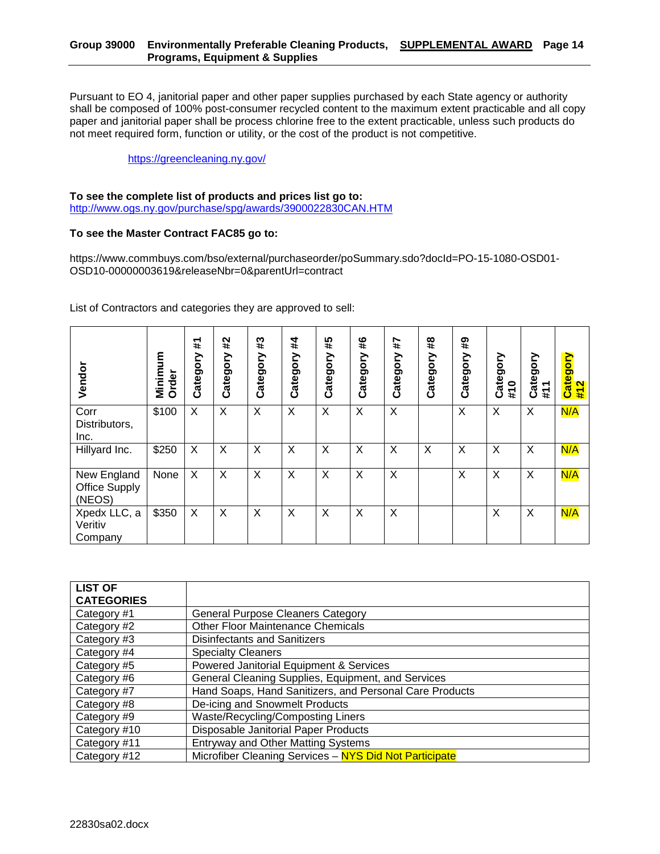Pursuant to EO 4, janitorial paper and other paper supplies purchased by each State agency or authority shall be composed of 100% post-consumer recycled content to the maximum extent practicable and all copy paper and janitorial paper shall be process chlorine free to the extent practicable, unless such products do not meet required form, function or utility, or the cost of the product is not competitive.

#### <https://greencleaning.ny.gov/>

#### **To see the complete list of products and prices list go to:**

<http://www.ogs.ny.gov/purchase/spg/awards/3900022830CAN.HTM>

#### **To see the Master Contract FAC85 go to:**

https://www.commbuys.com/bso/external/purchaseorder/poSummary.sdo?docId=PO-15-1080-OSD01- OSD10-00000003619&releaseNbr=0&parentUrl=contract

List of Contractors and categories they are approved to sell:

| Vendor                                        | Minimum<br>Order | #<br>Category | #2<br>Category | #3<br>Category | #4<br>Category | #5<br>Category | #6<br>Category | 4#7<br>Category | #8<br>Category | $\overline{4}$<br>Category | Category<br>#10 | Category<br>#11 | Category<br>#12 |
|-----------------------------------------------|------------------|---------------|----------------|----------------|----------------|----------------|----------------|-----------------|----------------|----------------------------|-----------------|-----------------|-----------------|
| Corr<br>Distributors,<br>Inc.                 | \$100            | X             | X              | X              | $\times$       | X              | X              | X               |                | X                          | X               | X               | N/A             |
| Hillyard Inc.                                 | \$250            | X             | X              | X              | $\times$       | X              | X              | X               | X              | X                          | X               | X               | N/A             |
| New England<br><b>Office Supply</b><br>(NEOS) | None             | X             | X              | X              | $\times$       | X              | X              | X               |                | X                          | X               | X               | N/A             |
| Xpedx LLC, a<br>Veritiv<br>Company            | \$350            | X             | X              | X              | $\times$       | X              | X              | X               |                |                            | X               | X               | N/A             |

| <b>LIST OF</b><br><b>CATEGORIES</b> |                                                         |
|-------------------------------------|---------------------------------------------------------|
|                                     |                                                         |
| Category #1                         | <b>General Purpose Cleaners Category</b>                |
| Category #2                         | <b>Other Floor Maintenance Chemicals</b>                |
| Category #3                         | <b>Disinfectants and Sanitizers</b>                     |
| Category #4                         | <b>Specialty Cleaners</b>                               |
| Category #5                         | Powered Janitorial Equipment & Services                 |
| Category #6                         | General Cleaning Supplies, Equipment, and Services      |
| Category #7                         | Hand Soaps, Hand Sanitizers, and Personal Care Products |
| Category #8                         | De-icing and Snowmelt Products                          |
| Category #9                         | Waste/Recycling/Composting Liners                       |
| Category #10                        | Disposable Janitorial Paper Products                    |
| Category #11                        | <b>Entryway and Other Matting Systems</b>               |
| Category #12                        | Microfiber Cleaning Services - NYS Did Not Participate  |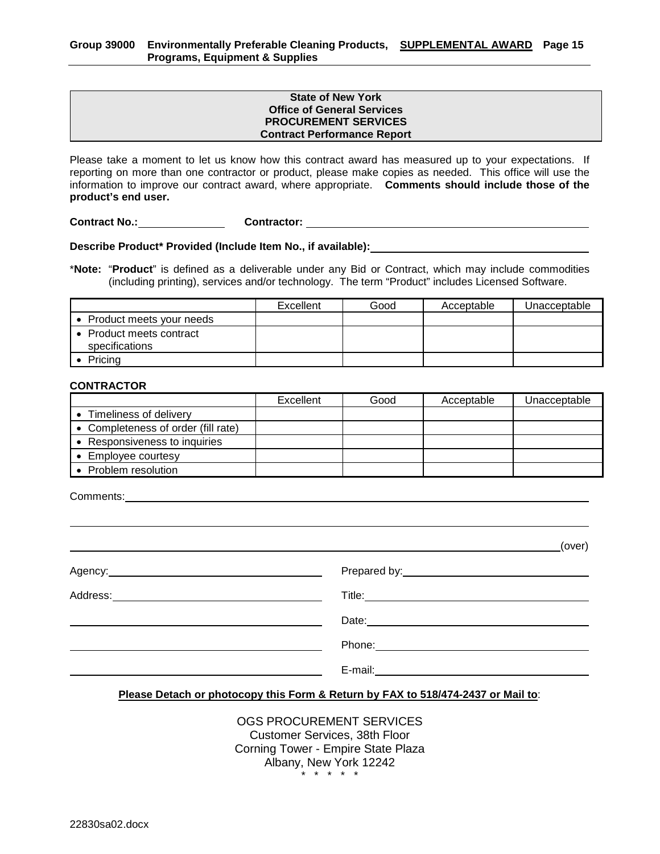#### **State of New York Office of General Services PROCUREMENT SERVICES Contract Performance Report**

Please take a moment to let us know how this contract award has measured up to your expectations. If reporting on more than one contractor or product, please make copies as needed. This office will use the information to improve our contract award, where appropriate. **Comments should include those of the product's end user.**

**Contract No.: Contractor:** 

**Describe Product\* Provided (Include Item No., if available):**

\***Note:** "**Product**" is defined as a deliverable under any Bid or Contract, which may include commodities (including printing), services and/or technology. The term "Product" includes Licensed Software.

|                                            | Excellent | Good | Acceptable | Unacceptable |
|--------------------------------------------|-----------|------|------------|--------------|
| • Product meets your needs                 |           |      |            |              |
| • Product meets contract<br>specifications |           |      |            |              |
| Pricing                                    |           |      |            |              |

#### **CONTRACTOR**

|                                     | Excellent | Good | Acceptable | Unacceptable |
|-------------------------------------|-----------|------|------------|--------------|
| Timeliness of delivery              |           |      |            |              |
| • Completeness of order (fill rate) |           |      |            |              |
| • Responsiveness to inquiries       |           |      |            |              |
| • Employee courtesy                 |           |      |            |              |
| Problem resolution                  |           |      |            |              |

Comments:

|                                                                                                                                                                                                                                      | (over)                                                                                                                                                                                                                               |
|--------------------------------------------------------------------------------------------------------------------------------------------------------------------------------------------------------------------------------------|--------------------------------------------------------------------------------------------------------------------------------------------------------------------------------------------------------------------------------------|
| Agency: <u>example and a series of the series of the series of the series of the series of the series of the series of the series of the series of the series of the series of the series of the series of the series of the ser</u> |                                                                                                                                                                                                                                      |
|                                                                                                                                                                                                                                      |                                                                                                                                                                                                                                      |
|                                                                                                                                                                                                                                      | Date: <u>contract and a series of the series of the series of the series of the series of the series of the series of the series of the series of the series of the series of the series of the series of the series of the seri</u> |
|                                                                                                                                                                                                                                      |                                                                                                                                                                                                                                      |
|                                                                                                                                                                                                                                      | E-mail: _____________                                                                                                                                                                                                                |

#### **Please Detach or photocopy this Form & Return by FAX to 518/474-2437 or Mail to**:

OGS PROCUREMENT SERVICES Customer Services, 38th Floor Corning Tower - Empire State Plaza Albany, New York 12242 .<br>\* \* \* \* ·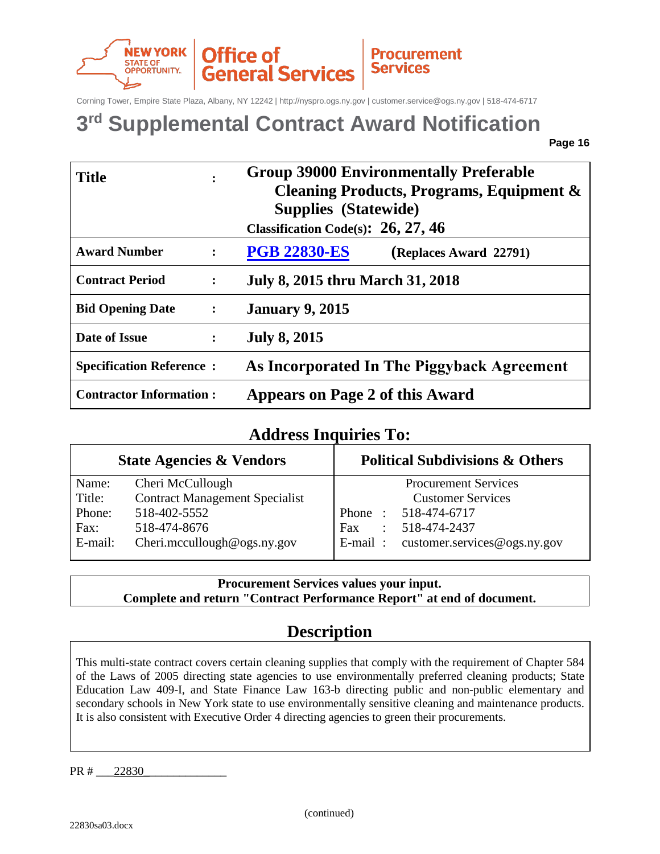

Corning Tower, Empire State Plaza, Albany, NY 12242 | http://nyspro.ogs.ny.gov | customer.service@ogs.ny.gov | 518-474-6717

## **3rd Supplemental Contract Award Notification**

**Page 16** 

| <b>Title</b><br>$\bullet$                 |                | <b>Group 39000 Environmentally Preferable</b><br>Cleaning Products, Programs, Equipment &<br><b>Supplies (Statewide)</b><br>Classification Code(s): $26, 27, 46$ |  |  |  |  |  |
|-------------------------------------------|----------------|------------------------------------------------------------------------------------------------------------------------------------------------------------------|--|--|--|--|--|
| <b>Award Number</b>                       | $\ddot{\cdot}$ | <b>PGB 22830-ES</b><br>(Replaces Award 22791)                                                                                                                    |  |  |  |  |  |
| <b>Contract Period</b>                    | $\ddot{\cdot}$ | <b>July 8, 2015 thru March 31, 2018</b>                                                                                                                          |  |  |  |  |  |
| <b>Bid Opening Date</b><br>$\ddot{\cdot}$ |                | <b>January 9, 2015</b>                                                                                                                                           |  |  |  |  |  |
| Date of Issue                             | $\ddot{\cdot}$ | <b>July 8, 2015</b>                                                                                                                                              |  |  |  |  |  |
| <b>Specification Reference:</b>           |                | As Incorporated In The Piggyback Agreement                                                                                                                       |  |  |  |  |  |
| <b>Contractor Information:</b>            |                | <b>Appears on Page 2 of this Award</b>                                                                                                                           |  |  |  |  |  |

### **Address Inquiries To:**

|         | <b>State Agencies &amp; Vendors</b>   | <b>Political Subdivisions &amp; Others</b> |
|---------|---------------------------------------|--------------------------------------------|
| Name:   | Cheri McCullough                      | <b>Procurement Services</b>                |
| Title:  | <b>Contract Management Specialist</b> | <b>Customer Services</b>                   |
| Phone:  | 518-402-5552                          | Phone: 518-474-6717                        |
| Fax:    | 518-474-8676                          | 518-474-2437<br>Fax<br>$\mathcal{L}$       |
| E-mail: | Cheri.mccullough@ogs.ny.gov           | E-mail: customer.services@ogs.ny.gov       |

**Procurement Services values your input. Complete and return "Contract Performance Report" at end of document.**

## **Description**

This multi-state contract covers certain cleaning supplies that comply with the requirement of Chapter 584 of the Laws of 2005 directing state agencies to use environmentally preferred cleaning products; State Education Law 409-I, and State Finance Law 163-b directing public and non-public elementary and secondary schools in New York state to use environmentally sensitive cleaning and maintenance products. It is also consistent with Executive Order 4 directing agencies to green their procurements.

PR # 22830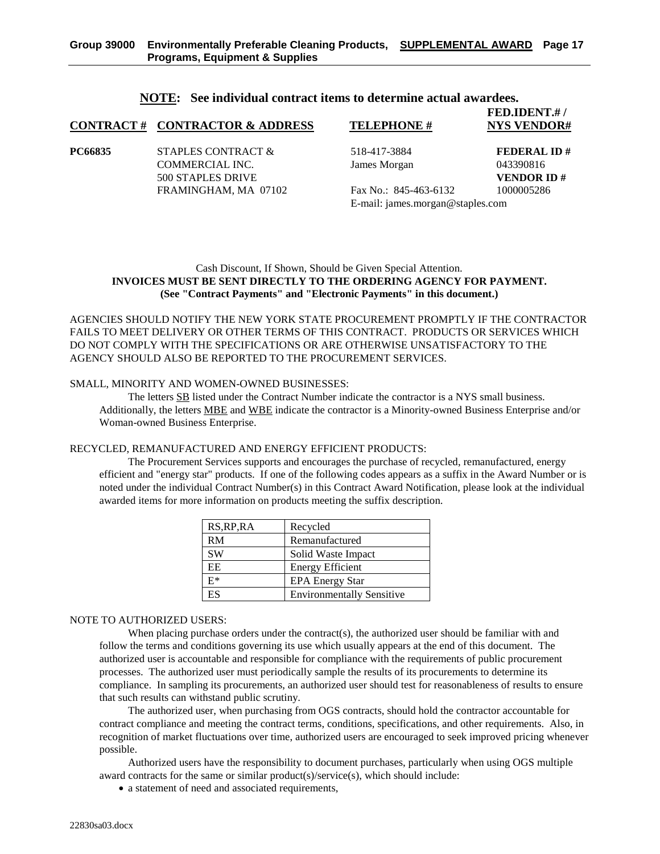|         | <b>CONTRACT# CONTRACTOR &amp; ADDRESS</b> | <b>TELEPHONE#</b>                | FED.IDENT.#/<br><b>NYS VENDOR#</b> |
|---------|-------------------------------------------|----------------------------------|------------------------------------|
| PC66835 | STAPLES CONTRACT &                        | 518-417-3884                     | <b>FEDERAL ID#</b>                 |
|         | <b>COMMERCIAL INC.</b>                    | James Morgan                     | 043390816                          |
|         | 500 STAPLES DRIVE                         |                                  | <b>VENDOR ID#</b>                  |
|         | FRAMINGHAM, MA 07102                      | Fax No.: $845-463-6132$          | 1000005286                         |
|         |                                           | E-mail: james.morgan@staples.com |                                    |

#### **NOTE: See individual contract items to determine actual awardees.**

#### Cash Discount, If Shown, Should be Given Special Attention. **INVOICES MUST BE SENT DIRECTLY TO THE ORDERING AGENCY FOR PAYMENT. (See "Contract Payments" and "Electronic Payments" in this document.)**

AGENCIES SHOULD NOTIFY THE NEW YORK STATE PROCUREMENT PROMPTLY IF THE CONTRACTOR FAILS TO MEET DELIVERY OR OTHER TERMS OF THIS CONTRACT. PRODUCTS OR SERVICES WHICH DO NOT COMPLY WITH THE SPECIFICATIONS OR ARE OTHERWISE UNSATISFACTORY TO THE AGENCY SHOULD ALSO BE REPORTED TO THE PROCUREMENT SERVICES.

#### SMALL, MINORITY AND WOMEN-OWNED BUSINESSES:

The letters SB listed under the Contract Number indicate the contractor is a NYS small business. Additionally, the letters MBE and WBE indicate the contractor is a Minority-owned Business Enterprise and/or Woman-owned Business Enterprise.

#### RECYCLED, REMANUFACTURED AND ENERGY EFFICIENT PRODUCTS:

The Procurement Services supports and encourages the purchase of recycled, remanufactured, energy efficient and "energy star" products. If one of the following codes appears as a suffix in the Award Number or is noted under the individual Contract Number(s) in this Contract Award Notification, please look at the individual awarded items for more information on products meeting the suffix description.

| RS, RP, RA | Recycled                         |
|------------|----------------------------------|
| RM         | Remanufactured                   |
| <b>SW</b>  | Solid Waste Impact               |
| EE.        | <b>Energy Efficient</b>          |
| $E^*$      | <b>EPA Energy Star</b>           |
| ES         | <b>Environmentally Sensitive</b> |

#### NOTE TO AUTHORIZED USERS:

When placing purchase orders under the contract(s), the authorized user should be familiar with and follow the terms and conditions governing its use which usually appears at the end of this document. The authorized user is accountable and responsible for compliance with the requirements of public procurement processes. The authorized user must periodically sample the results of its procurements to determine its compliance. In sampling its procurements, an authorized user should test for reasonableness of results to ensure that such results can withstand public scrutiny.

The authorized user, when purchasing from OGS contracts, should hold the contractor accountable for contract compliance and meeting the contract terms, conditions, specifications, and other requirements. Also, in recognition of market fluctuations over time, authorized users are encouraged to seek improved pricing whenever possible.

Authorized users have the responsibility to document purchases, particularly when using OGS multiple award contracts for the same or similar product(s)/service(s), which should include:

• a statement of need and associated requirements,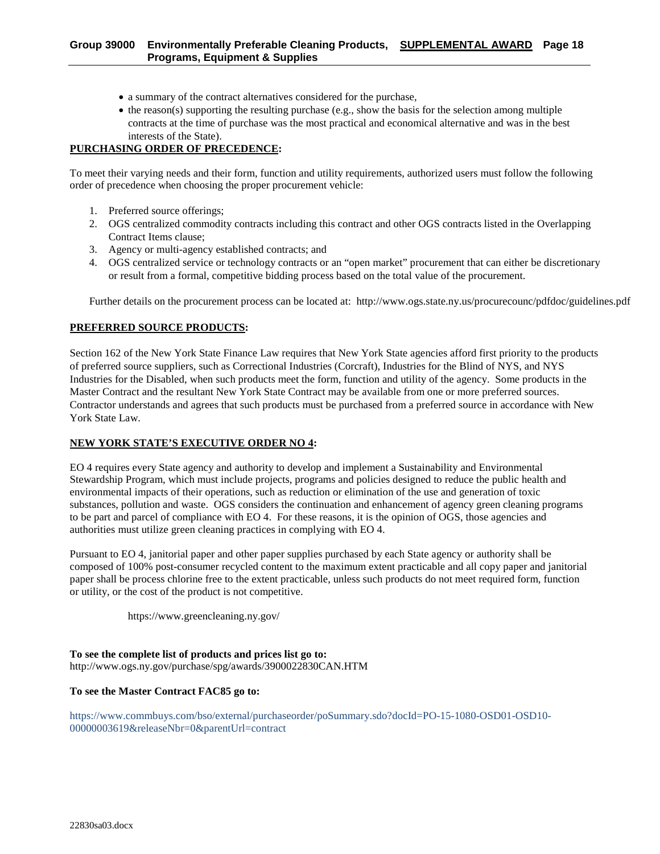- a summary of the contract alternatives considered for the purchase,
- the reason(s) supporting the resulting purchase (e.g., show the basis for the selection among multiple contracts at the time of purchase was the most practical and economical alternative and was in the best interests of the State).

#### **PURCHASING ORDER OF PRECEDENCE:**

To meet their varying needs and their form, function and utility requirements, authorized users must follow the following order of precedence when choosing the proper procurement vehicle:

- 1. Preferred source offerings;
- 2. OGS centralized commodity contracts including this contract and other OGS contracts listed in the Overlapping Contract Items clause;
- 3. Agency or multi-agency established contracts; and
- 4. OGS centralized service or technology contracts or an "open market" procurement that can either be discretionary or result from a formal, competitive bidding process based on the total value of the procurement.

Further details on the procurement process can be located at: http://www.ogs.state.ny.us/procurecounc/pdfdoc/guidelines.pdf

#### **PREFERRED SOURCE PRODUCTS:**

Section 162 of the New York State Finance Law requires that New York State agencies afford first priority to the products of preferred source suppliers, such as Correctional Industries (Corcraft), Industries for the Blind of NYS, and NYS Industries for the Disabled, when such products meet the form, function and utility of the agency. Some products in the Master Contract and the resultant New York State Contract may be available from one or more preferred sources. Contractor understands and agrees that such products must be purchased from a preferred source in accordance with New York State Law.

#### **NEW YORK STATE'S EXECUTIVE ORDER NO 4:**

EO 4 requires every State agency and authority to develop and implement a Sustainability and Environmental Stewardship Program, which must include projects, programs and policies designed to reduce the public health and environmental impacts of their operations, such as reduction or elimination of the use and generation of toxic substances, pollution and waste. OGS considers the continuation and enhancement of agency green cleaning programs to be part and parcel of compliance with EO 4. For these reasons, it is the opinion of OGS, those agencies and authorities must utilize green cleaning practices in complying with EO 4.

Pursuant to EO 4, janitorial paper and other paper supplies purchased by each State agency or authority shall be composed of 100% post-consumer recycled content to the maximum extent practicable and all copy paper and janitorial paper shall be process chlorine free to the extent practicable, unless such products do not meet required form, function or utility, or the cost of the product is not competitive.

https://www.greencleaning.ny.gov/

**To see the complete list of products and prices list go to:**  http://www.ogs.ny.gov/purchase/spg/awards/3900022830CAN.HTM

#### **To see the Master Contract FAC85 go to:**

https://www.commbuys.com/bso/external/purchaseorder/poSummary.sdo?docId=PO-15-1080-OSD01-OSD10- 00000003619&releaseNbr=0&parentUrl=contract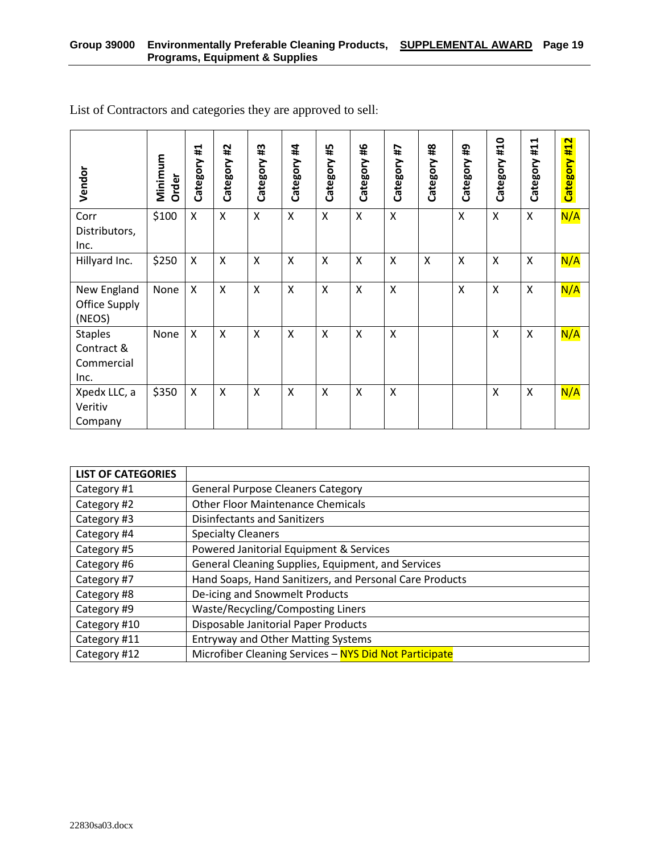| Vendor                                             | Minimum<br>Order | Ħ,<br>Category | #2<br>Category            | #3<br>Category            | #4<br>Category | #5<br>Category            | 9#<br>Category | 4#<br>Category          | $\frac{48}{44}$<br>Category | 49<br>Category | #10<br>Category | #11<br>Category | Category #12 |
|----------------------------------------------------|------------------|----------------|---------------------------|---------------------------|----------------|---------------------------|----------------|-------------------------|-----------------------------|----------------|-----------------|-----------------|--------------|
| Corr<br>Distributors,<br>Inc.                      | \$100            | X              | X                         | X                         | X              | $\boldsymbol{\mathsf{X}}$ | X              | X                       |                             | X              | X               | Χ               | N/A          |
| Hillyard Inc.                                      | \$250            | X              | X                         | X                         | X              | $\boldsymbol{\mathsf{X}}$ | X              | X                       | $\sf X$                     | X              | X               | $\times$        | N/A          |
| New England<br>Office Supply<br>(NEOS)             | None             | $\mathsf{X}$   | $\boldsymbol{\mathsf{X}}$ | $\boldsymbol{\mathsf{X}}$ | X              | $\boldsymbol{\mathsf{X}}$ | $\sf X$        | $\mathsf{\overline{X}}$ |                             | $\mathsf{x}$   | $\sf X$         | $\sf X$         | N/A          |
| <b>Staples</b><br>Contract &<br>Commercial<br>Inc. | None             | X              | X                         | X                         | Χ              | $\boldsymbol{\mathsf{X}}$ | $\mathsf{X}$   | X                       |                             |                | X               | X               | N/A          |
| Xpedx LLC, a<br>Veritiv<br>Company                 | \$350            | X              | X                         | X                         | X              | $\boldsymbol{\mathsf{X}}$ | X              | X                       |                             |                | X               | X               | N/A          |

List of Contractors and categories they are approved to sell:

| <b>LIST OF CATEGORIES</b> |                                                         |
|---------------------------|---------------------------------------------------------|
| Category #1               | <b>General Purpose Cleaners Category</b>                |
| Category #2               | <b>Other Floor Maintenance Chemicals</b>                |
| Category #3               | <b>Disinfectants and Sanitizers</b>                     |
| Category #4               | <b>Specialty Cleaners</b>                               |
| Category #5               | Powered Janitorial Equipment & Services                 |
| Category #6               | General Cleaning Supplies, Equipment, and Services      |
| Category #7               | Hand Soaps, Hand Sanitizers, and Personal Care Products |
| Category #8               | De-icing and Snowmelt Products                          |
| Category #9               | Waste/Recycling/Composting Liners                       |
| Category #10              | Disposable Janitorial Paper Products                    |
| Category #11              | <b>Entryway and Other Matting Systems</b>               |
| Category #12              | Microfiber Cleaning Services - NYS Did Not Participate  |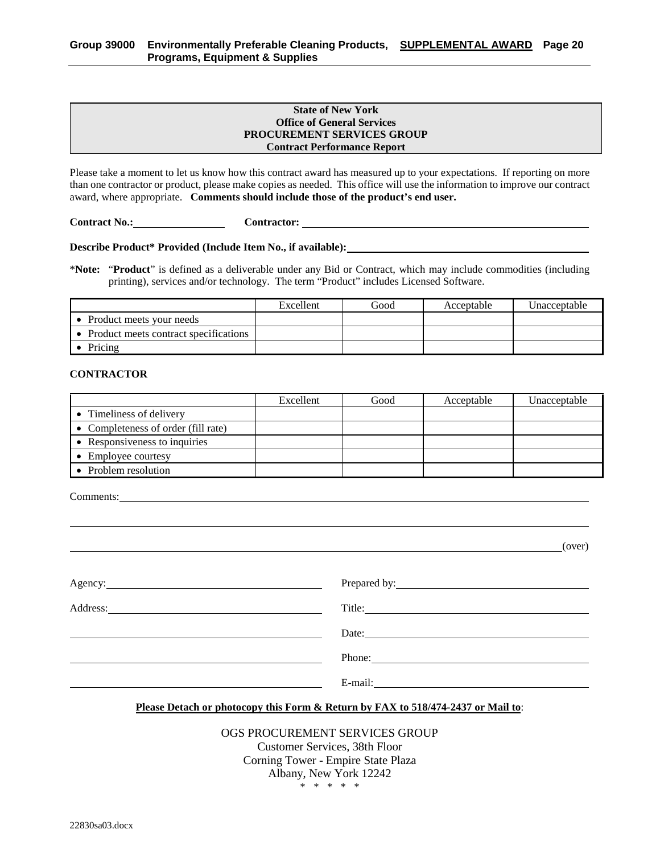#### **State of New York Office of General Services PROCUREMENT SERVICES GROUP Contract Performance Report**

Please take a moment to let us know how this contract award has measured up to your expectations. If reporting on more than one contractor or product, please make copies as needed. This office will use the information to improve our contract award, where appropriate. **Comments should include those of the product's end user.**

**Contract No.: Contractor:** 

**Describe Product\* Provided (Include Item No., if available):**

\***Note:** "**Product**" is defined as a deliverable under any Bid or Contract, which may include commodities (including printing), services and/or technology. The term "Product" includes Licensed Software.

|                                         | Excellent | Good | Acceptable | Unacceptable |
|-----------------------------------------|-----------|------|------------|--------------|
| Product meets your needs                |           |      |            |              |
| • Product meets contract specifications |           |      |            |              |
| Pricing                                 |           |      |            |              |

#### **CONTRACTOR**

|                                     | Excellent | Good | Acceptable | Unacceptable |
|-------------------------------------|-----------|------|------------|--------------|
| • Timeliness of delivery            |           |      |            |              |
| • Completeness of order (fill rate) |           |      |            |              |
| • Responsiveness to inquiries       |           |      |            |              |
| • Employee courtesy                 |           |      |            |              |
| • Problem resolution                |           |      |            |              |

Comments:

(over)

| Agency: |                                                                                                                                                                                                                                |
|---------|--------------------------------------------------------------------------------------------------------------------------------------------------------------------------------------------------------------------------------|
|         | Title:                                                                                                                                                                                                                         |
|         | Date: $\qquad \qquad$                                                                                                                                                                                                          |
|         | Phone:                                                                                                                                                                                                                         |
|         | E-mail: 2008. 2010. 2010. 2010. 2010. 2010. 2010. 2010. 2010. 2010. 2010. 2010. 2010. 2010. 2010. 2010. 2010. 2010. 2010. 2010. 2010. 2010. 2010. 2010. 2010. 2010. 2010. 2010. 2010. 2010. 2010. 2010. 2010. 2010. 2010. 2010 |

#### **Please Detach or photocopy this Form & Return by FAX to 518/474-2437 or Mail to**:

#### OGS PROCUREMENT SERVICES GROUP

Customer Services, 38th Floor Corning Tower - Empire State Plaza Albany, New York 12242 \* \* \* \* \*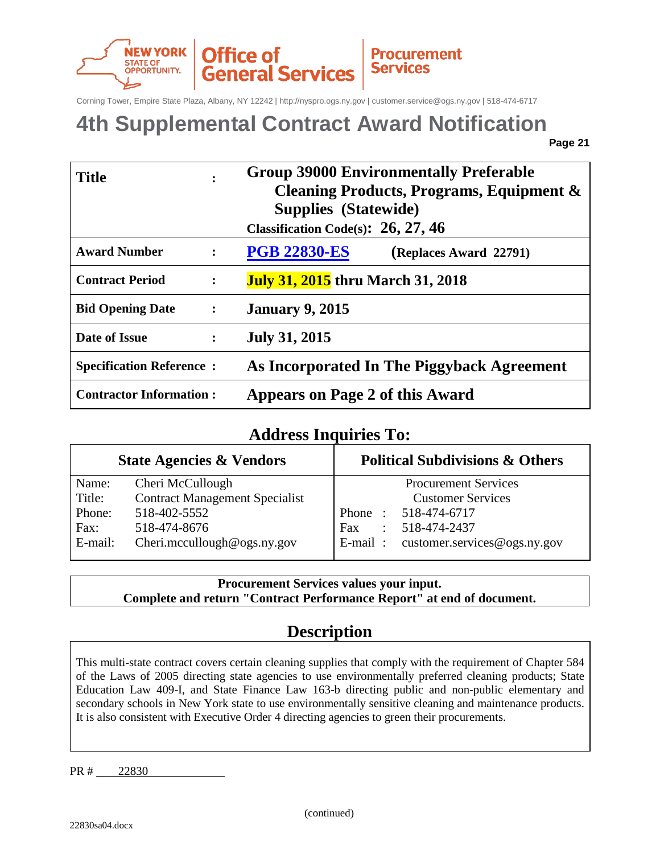

Corning Tower, Empire State Plaza, Albany, NY 12242 | http://nyspro.ogs.ny.gov | customer.service@ogs.ny.gov | 518-474-6717

## **4th Supplemental Contract Award Notification**

| <b>Title</b>                    | $\ddot{\cdot}$       | <b>Group 39000 Environmentally Preferable</b><br>Cleaning Products, Programs, Equipment &<br><b>Supplies (Statewide)</b><br>Classification Code(s): $26, 27, 46$ |
|---------------------------------|----------------------|------------------------------------------------------------------------------------------------------------------------------------------------------------------|
| <b>Award Number</b>             | $\ddot{\cdot}$       | <b>PGB 22830-ES</b><br>(Replaces Award 22791)                                                                                                                    |
| <b>Contract Period</b>          | $\ddot{\phantom{a}}$ | <b>July 31, 2015</b> thru March 31, 2018                                                                                                                         |
| <b>Bid Opening Date</b>         | $\ddot{\cdot}$       | <b>January 9, 2015</b>                                                                                                                                           |
| Date of Issue                   | $\ddot{\cdot}$       | <b>July 31, 2015</b>                                                                                                                                             |
| <b>Specification Reference:</b> |                      | As Incorporated In The Piggyback Agreement                                                                                                                       |
| <b>Contractor Information:</b>  |                      | <b>Appears on Page 2 of this Award</b>                                                                                                                           |

### **Address Inquiries To:**

|         | <b>State Agencies &amp; Vendors</b>   | <b>Political Subdivisions &amp; Others</b>   |
|---------|---------------------------------------|----------------------------------------------|
| Name:   | Cheri McCullough                      | <b>Procurement Services</b>                  |
| Title:  | <b>Contract Management Specialist</b> | <b>Customer Services</b>                     |
| Phone:  | 518-402-5552                          | Phone: 518-474-6717                          |
| Fax:    | 518-474-8676                          | 518-474-2437<br><b>Fax</b><br>$\mathbb{R}^n$ |
| E-mail: | Cheri.mccullough@ogs.ny.gov           | E-mail: customer.services@ogs.ny.gov         |

**Procurement Services values your input. Complete and return "Contract Performance Report" at end of document.**

## **Description**

This multi-state contract covers certain cleaning supplies that comply with the requirement of Chapter 584 of the Laws of 2005 directing state agencies to use environmentally preferred cleaning products; State Education Law 409-I, and State Finance Law 163-b directing public and non-public elementary and secondary schools in New York state to use environmentally sensitive cleaning and maintenance products. It is also consistent with Executive Order 4 directing agencies to green their procurements.

PR # 22830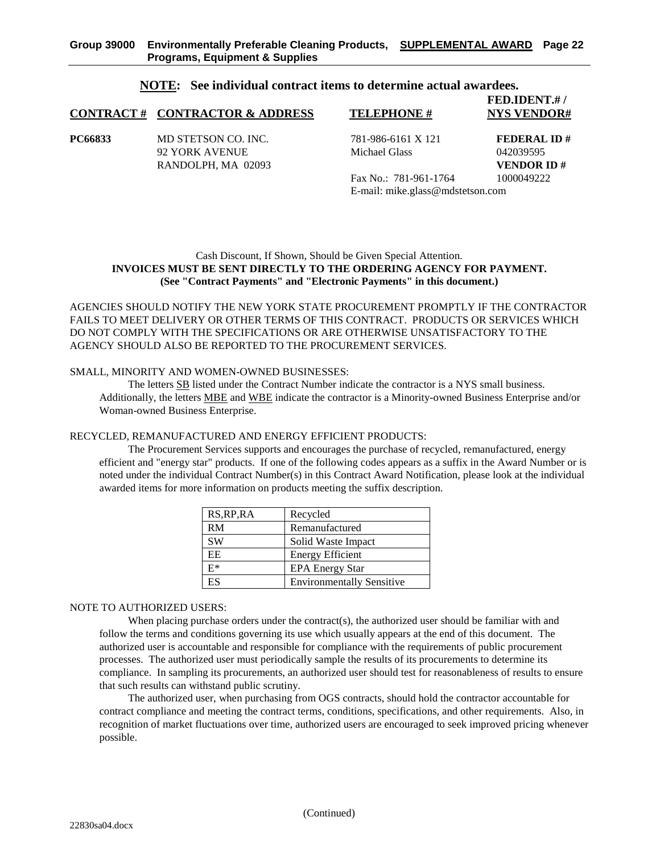#### **NOTE: See individual contract items to determine actual awardees.**

|         | <b>CONTRACT # CONTRACTOR &amp; ADDRESS</b>                  | <b>TELEPHONE#</b>                                         | FED.IDENT.#/<br><b>NYS VENDOR#</b>                   |
|---------|-------------------------------------------------------------|-----------------------------------------------------------|------------------------------------------------------|
| PC66833 | MD STETSON CO. INC.<br>92 YORK AVENUE<br>RANDOLPH, MA 02093 | 781-986-6161 X 121<br>Michael Glass                       | <b>FEDERAL ID#</b><br>042039595<br><b>VENDOR ID#</b> |
|         |                                                             | Fax No.: 781-961-1764<br>E-mail: mike.glass@mdstetson.com | 1000049222                                           |

#### Cash Discount, If Shown, Should be Given Special Attention. **INVOICES MUST BE SENT DIRECTLY TO THE ORDERING AGENCY FOR PAYMENT. (See "Contract Payments" and "Electronic Payments" in this document.)**

AGENCIES SHOULD NOTIFY THE NEW YORK STATE PROCUREMENT PROMPTLY IF THE CONTRACTOR FAILS TO MEET DELIVERY OR OTHER TERMS OF THIS CONTRACT. PRODUCTS OR SERVICES WHICH DO NOT COMPLY WITH THE SPECIFICATIONS OR ARE OTHERWISE UNSATISFACTORY TO THE AGENCY SHOULD ALSO BE REPORTED TO THE PROCUREMENT SERVICES.

#### SMALL, MINORITY AND WOMEN-OWNED BUSINESSES:

The letters SB listed under the Contract Number indicate the contractor is a NYS small business. Additionally, the letters MBE and WBE indicate the contractor is a Minority-owned Business Enterprise and/or Woman-owned Business Enterprise.

#### RECYCLED, REMANUFACTURED AND ENERGY EFFICIENT PRODUCTS:

The Procurement Services supports and encourages the purchase of recycled, remanufactured, energy efficient and "energy star" products. If one of the following codes appears as a suffix in the Award Number or is noted under the individual Contract Number(s) in this Contract Award Notification, please look at the individual awarded items for more information on products meeting the suffix description.

| RS, RP, RA | Recycled                         |
|------------|----------------------------------|
| RM         | Remanufactured                   |
| <b>SW</b>  | Solid Waste Impact               |
| EE.        | <b>Energy Efficient</b>          |
| $E^*$      | <b>EPA Energy Star</b>           |
| ES         | <b>Environmentally Sensitive</b> |

#### NOTE TO AUTHORIZED USERS:

When placing purchase orders under the contract(s), the authorized user should be familiar with and follow the terms and conditions governing its use which usually appears at the end of this document. The authorized user is accountable and responsible for compliance with the requirements of public procurement processes. The authorized user must periodically sample the results of its procurements to determine its compliance. In sampling its procurements, an authorized user should test for reasonableness of results to ensure that such results can withstand public scrutiny.

The authorized user, when purchasing from OGS contracts, should hold the contractor accountable for contract compliance and meeting the contract terms, conditions, specifications, and other requirements. Also, in recognition of market fluctuations over time, authorized users are encouraged to seek improved pricing whenever possible.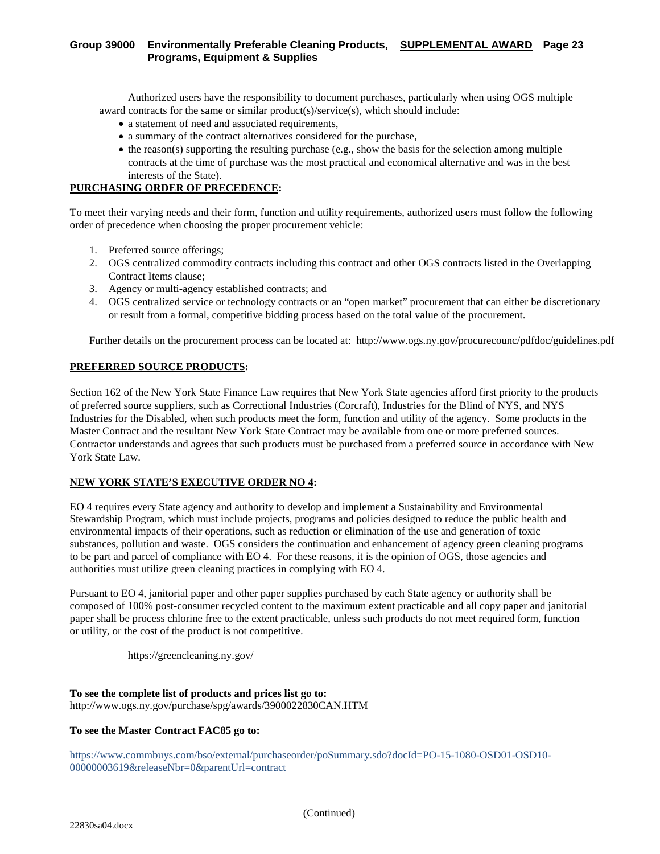Authorized users have the responsibility to document purchases, particularly when using OGS multiple award contracts for the same or similar product(s)/service(s), which should include:

- a statement of need and associated requirements,
- a summary of the contract alternatives considered for the purchase,
- $\bullet$  the reason(s) supporting the resulting purchase (e.g., show the basis for the selection among multiple contracts at the time of purchase was the most practical and economical alternative and was in the best interests of the State).

#### **PURCHASING ORDER OF PRECEDENCE:**

To meet their varying needs and their form, function and utility requirements, authorized users must follow the following order of precedence when choosing the proper procurement vehicle:

- 1. Preferred source offerings;
- 2. OGS centralized commodity contracts including this contract and other OGS contracts listed in the Overlapping Contract Items clause;
- 3. Agency or multi-agency established contracts; and
- 4. OGS centralized service or technology contracts or an "open market" procurement that can either be discretionary or result from a formal, competitive bidding process based on the total value of the procurement.

Further details on the procurement process can be located at: http://www.ogs.ny.gov/procurecounc/pdfdoc/guidelines.pdf

#### **PREFERRED SOURCE PRODUCTS:**

Section 162 of the New York State Finance Law requires that New York State agencies afford first priority to the products of preferred source suppliers, such as Correctional Industries (Corcraft), Industries for the Blind of NYS, and NYS Industries for the Disabled, when such products meet the form, function and utility of the agency. Some products in the Master Contract and the resultant New York State Contract may be available from one or more preferred sources. Contractor understands and agrees that such products must be purchased from a preferred source in accordance with New York State Law.

#### **NEW YORK STATE'S EXECUTIVE ORDER NO 4:**

EO 4 requires every State agency and authority to develop and implement a Sustainability and Environmental Stewardship Program, which must include projects, programs and policies designed to reduce the public health and environmental impacts of their operations, such as reduction or elimination of the use and generation of toxic substances, pollution and waste. OGS considers the continuation and enhancement of agency green cleaning programs to be part and parcel of compliance with EO 4. For these reasons, it is the opinion of OGS, those agencies and authorities must utilize green cleaning practices in complying with EO 4.

Pursuant to EO 4, janitorial paper and other paper supplies purchased by each State agency or authority shall be composed of 100% post-consumer recycled content to the maximum extent practicable and all copy paper and janitorial paper shall be process chlorine free to the extent practicable, unless such products do not meet required form, function or utility, or the cost of the product is not competitive.

https://greencleaning.ny.gov/

#### **To see the complete list of products and prices list go to:**  http://www.ogs.ny.gov/purchase/spg/awards/3900022830CAN.HTM

#### **To see the Master Contract FAC85 go to:**

https://www.commbuys.com/bso/external/purchaseorder/poSummary.sdo?docId=PO-15-1080-OSD01-OSD10- 00000003619&releaseNbr=0&parentUrl=contract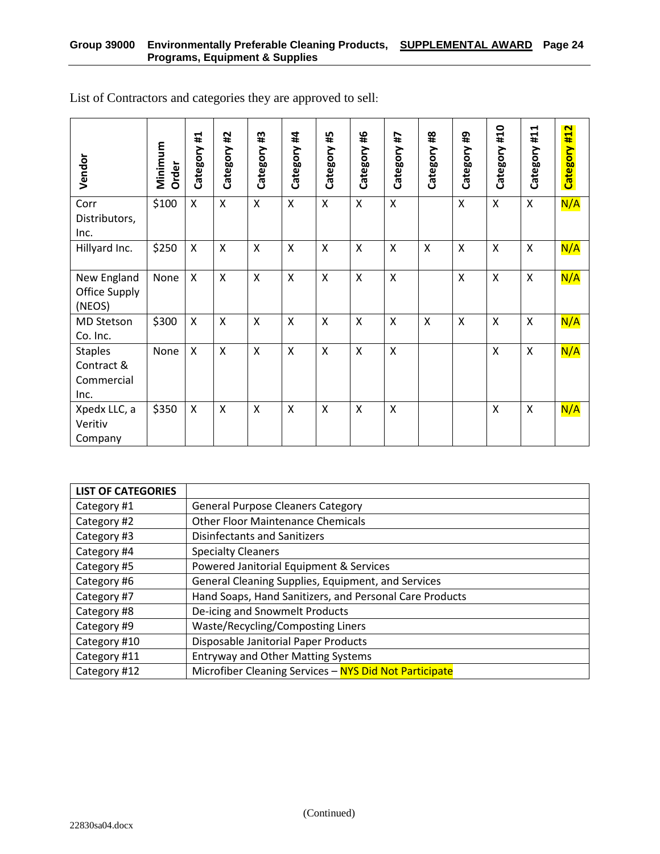| Vendor                                             | Minimum<br>Order | Ħ,<br>Category | #2<br>Category            | #3<br>Category | Category #4               | #5<br>Category            | 46<br>Category | 4#<br>Category  | $\frac{48}{44}$<br>Category | ₽<br>Category | Category #10              | #11<br>Category           | Category #12 |
|----------------------------------------------------|------------------|----------------|---------------------------|----------------|---------------------------|---------------------------|----------------|-----------------|-----------------------------|---------------|---------------------------|---------------------------|--------------|
| Corr<br>Distributors,<br>Inc.                      | \$100            | X              | X                         | X              | $\mathsf{x}$              | X                         | X              | $\mathsf{X}$    |                             | Χ             | $\mathsf{X}$              | X                         | N/A          |
| Hillyard Inc.                                      | \$250            | Χ              | X                         | X              | $\mathsf{X}$              | X                         | X              | X               | X                           | X             | $\boldsymbol{\mathsf{X}}$ | X                         | N/A          |
| New England<br>Office Supply<br>(NEOS)             | None             | X              | X                         | X              | $\mathsf{X}$              | $\pmb{\times}$            | $\sf X$        | X               |                             | Χ             | $\mathsf{X}$              | X                         | N/A          |
| MD Stetson<br>Co. Inc.                             | \$300            | X              | $\boldsymbol{\mathsf{X}}$ | X              | $\boldsymbol{\mathsf{X}}$ | $\boldsymbol{\mathsf{X}}$ | $\sf X$        | $\mathsf{x}$    | X                           | X             | $\boldsymbol{\mathsf{X}}$ | $\boldsymbol{\mathsf{X}}$ | N/A          |
| <b>Staples</b><br>Contract &<br>Commercial<br>Inc. | None             | X              | X                         | X              | $\boldsymbol{\mathsf{X}}$ | $\boldsymbol{\mathsf{X}}$ | $\mathsf{X}$   | $\mathsf{\chi}$ |                             |               | $\mathsf{X}$              | $\pmb{\times}$            | N/A          |
| Xpedx LLC, a<br>Veritiv<br>Company                 | \$350            | X              | X                         | X              | X                         | X                         | X              | $\sf X$         |                             |               | X                         | X                         | N/A          |

List of Contractors and categories they are approved to sell:

| <b>LIST OF CATEGORIES</b> |                                                         |
|---------------------------|---------------------------------------------------------|
| Category #1               | <b>General Purpose Cleaners Category</b>                |
| Category #2               | <b>Other Floor Maintenance Chemicals</b>                |
| Category #3               | <b>Disinfectants and Sanitizers</b>                     |
| Category #4               | <b>Specialty Cleaners</b>                               |
| Category #5               | Powered Janitorial Equipment & Services                 |
| Category #6               | General Cleaning Supplies, Equipment, and Services      |
| Category #7               | Hand Soaps, Hand Sanitizers, and Personal Care Products |
| Category #8               | De-icing and Snowmelt Products                          |
| Category #9               | Waste/Recycling/Composting Liners                       |
| Category #10              | Disposable Janitorial Paper Products                    |
| Category #11              | <b>Entryway and Other Matting Systems</b>               |
| Category #12              | Microfiber Cleaning Services - NYS Did Not Participate  |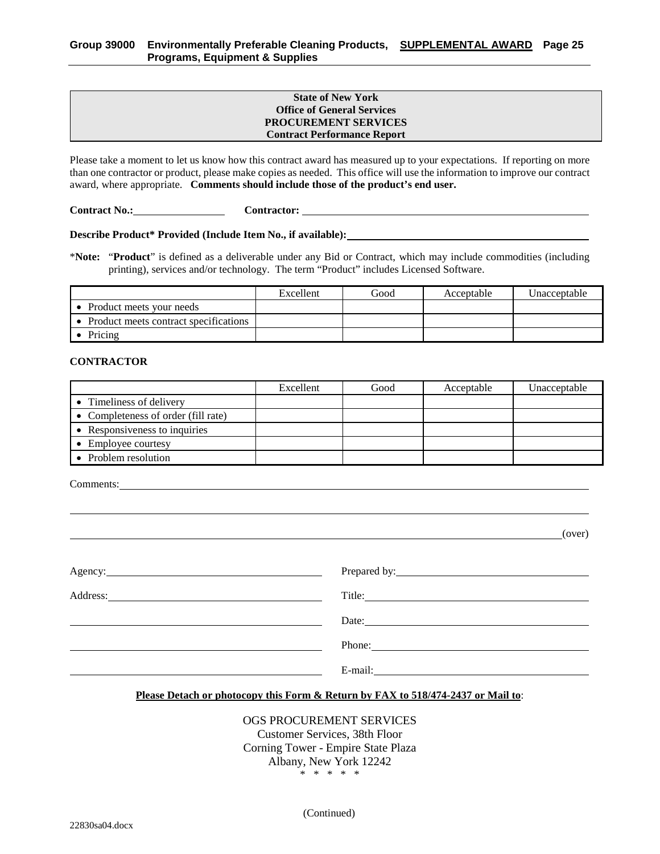#### **State of New York Office of General Services PROCUREMENT SERVICES Contract Performance Report**

Please take a moment to let us know how this contract award has measured up to your expectations. If reporting on more than one contractor or product, please make copies as needed. This office will use the information to improve our contract award, where appropriate. **Comments should include those of the product's end user.**

**Contract No.: Contractor:** 

**Describe Product\* Provided (Include Item No., if available):**

\***Note:** "**Product**" is defined as a deliverable under any Bid or Contract, which may include commodities (including printing), services and/or technology. The term "Product" includes Licensed Software.

|                                         | Excellent | Good | Acceptable | Unacceptable |
|-----------------------------------------|-----------|------|------------|--------------|
| • Product meets your needs              |           |      |            |              |
| • Product meets contract specifications |           |      |            |              |
| Pricing                                 |           |      |            |              |

#### **CONTRACTOR**

|                                     | Excellent | Good | Acceptable | Unacceptable |
|-------------------------------------|-----------|------|------------|--------------|
| • Timeliness of delivery            |           |      |            |              |
| • Completeness of order (fill rate) |           |      |            |              |
| • Responsiveness to inquiries       |           |      |            |              |
| Employee courtesy                   |           |      |            |              |
| Problem resolution                  |           |      |            |              |

Comments:

(over)

| Agency: <u>example</u> and the contract of the contract of the contract of the contract of the contract of the contract of the contract of the contract of the contract of the contract of the contract of the contract of the cont |                                                                                                                                                                                                                                                                                                                                                                                                              |
|-------------------------------------------------------------------------------------------------------------------------------------------------------------------------------------------------------------------------------------|--------------------------------------------------------------------------------------------------------------------------------------------------------------------------------------------------------------------------------------------------------------------------------------------------------------------------------------------------------------------------------------------------------------|
|                                                                                                                                                                                                                                     |                                                                                                                                                                                                                                                                                                                                                                                                              |
|                                                                                                                                                                                                                                     | Date: $\qquad \qquad$                                                                                                                                                                                                                                                                                                                                                                                        |
|                                                                                                                                                                                                                                     | Phone: $\frac{1}{\sqrt{1-\frac{1}{2}}\sqrt{1-\frac{1}{2}}\sqrt{1-\frac{1}{2}}\sqrt{1-\frac{1}{2}}\sqrt{1-\frac{1}{2}}\sqrt{1-\frac{1}{2}}\sqrt{1-\frac{1}{2}}\sqrt{1-\frac{1}{2}}\sqrt{1-\frac{1}{2}}\sqrt{1-\frac{1}{2}}\sqrt{1-\frac{1}{2}}\sqrt{1-\frac{1}{2}}\sqrt{1-\frac{1}{2}}\sqrt{1-\frac{1}{2}}\sqrt{1-\frac{1}{2}}\sqrt{1-\frac{1}{2}}\sqrt{1-\frac{1}{2}}\sqrt{1-\frac{1}{2}}\sqrt{1-\frac{1}{2$ |
|                                                                                                                                                                                                                                     |                                                                                                                                                                                                                                                                                                                                                                                                              |

#### **Please Detach or photocopy this Form & Return by FAX to 518/474-2437 or Mail to**:

### OGS PROCUREMENT SERVICES

Customer Services, 38th Floor Corning Tower - Empire State Plaza Albany, New York 12242 \* \* \* \* \*

(Continued)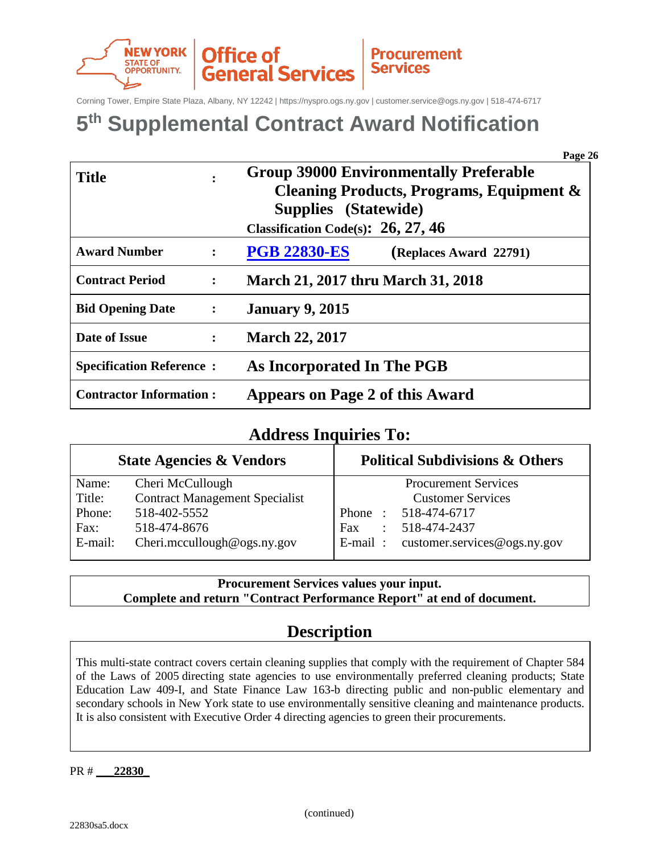

Corning Tower, Empire State Plaza, Albany, NY 12242 | https://nyspro.ogs.ny.gov | customer.service@ogs.ny.gov | 518-474-6717

## **5th Supplemental Contract Award Notification**

|                                 |                      | Page 26                                       |
|---------------------------------|----------------------|-----------------------------------------------|
| <b>Title</b>                    |                      | <b>Group 39000 Environmentally Preferable</b> |
|                                 |                      | Cleaning Products, Programs, Equipment &      |
|                                 |                      | <b>Supplies</b> (Statewide)                   |
|                                 |                      | Classification Code(s): $26, 27, 46$          |
| <b>Award Number</b>             | $\ddot{\cdot}$       | <b>PGB 22830-ES</b><br>(Replaces Award 22791) |
| <b>Contract Period</b>          | $\ddot{\cdot}$       | <b>March 21, 2017 thru March 31, 2018</b>     |
| <b>Bid Opening Date</b>         | $\ddot{\phantom{1}}$ | <b>January 9, 2015</b>                        |
| Date of Issue                   | $\ddot{\cdot}$       | <b>March 22, 2017</b>                         |
| <b>Specification Reference:</b> |                      | As Incorporated In The PGB                    |
| <b>Contractor Information:</b>  |                      | Appears on Page 2 of this Award               |

### **Address Inquiries To:**

|         | <b>State Agencies &amp; Vendors</b>   | <b>Political Subdivisions &amp; Others</b>   |  |  |  |  |
|---------|---------------------------------------|----------------------------------------------|--|--|--|--|
| Name:   | Cheri McCullough                      | <b>Procurement Services</b>                  |  |  |  |  |
| Title:  | <b>Contract Management Specialist</b> | <b>Customer Services</b>                     |  |  |  |  |
| Phone:  | 518-402-5552                          | Phone: 518-474-6717                          |  |  |  |  |
| Fax:    | 518-474-8676                          | 518-474-2437<br><b>Fax</b><br>$\mathbb{R}^n$ |  |  |  |  |
| E-mail: | Cheri.mccullough@ogs.ny.gov           | E-mail: customer.services@ogs.ny.gov         |  |  |  |  |

**Procurement Services values your input. Complete and return "Contract Performance Report" at end of document.**

## **Description**

This multi-state contract covers certain cleaning supplies that comply with the requirement of Chapter 584 of the Laws of 2005 directing state agencies to use environmentally preferred cleaning products; State Education Law 409-I, and State Finance Law 163-b directing public and non-public elementary and secondary schools in New York state to use environmentally sensitive cleaning and maintenance products. It is also consistent with Executive Order 4 directing agencies to green their procurements.

PR # **\_\_\_22830\_**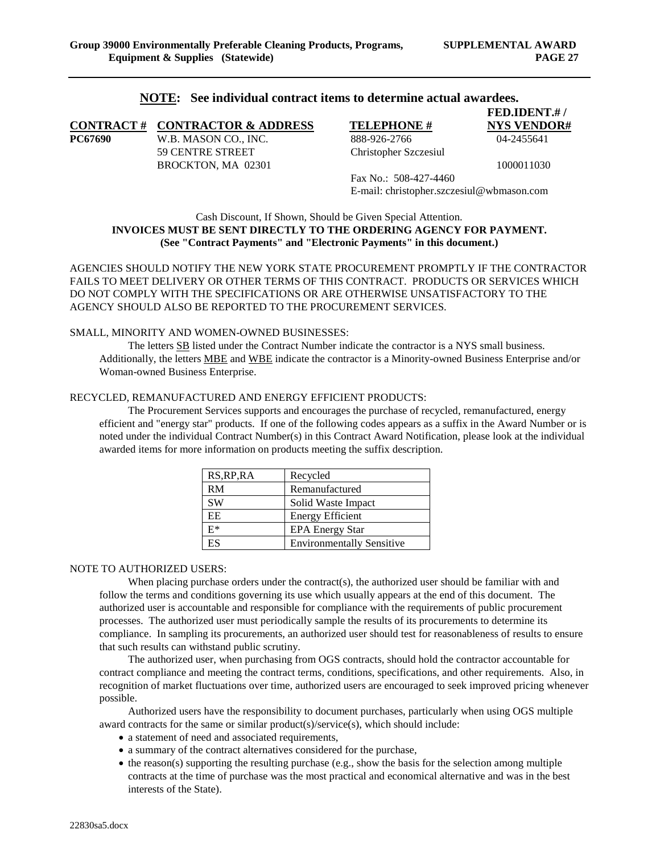**FED.IDENT.# /**

#### **NOTE: See individual contract items to determine actual awardees.**

|         | <b>CONTRACT # CONTRACTOR &amp; ADDRESS</b> | <b>TELEPHONE #</b>                        | <b>NYS VENDOR#</b> |
|---------|--------------------------------------------|-------------------------------------------|--------------------|
| PC67690 | W.B. MASON CO., INC.                       | 888-926-2766                              | 04-2455641         |
|         | 59 CENTRE STREET                           | Christopher Szczesiul                     |                    |
|         | BROCKTON, MA 02301                         |                                           | 1000011030         |
|         |                                            | Fax No.: $508-427-4460$                   |                    |
|         |                                            | E-mail: christopher.szczesiul@wbmason.com |                    |

Cash Discount, If Shown, Should be Given Special Attention. **INVOICES MUST BE SENT DIRECTLY TO THE ORDERING AGENCY FOR PAYMENT. (See "Contract Payments" and "Electronic Payments" in this document.)**

AGENCIES SHOULD NOTIFY THE NEW YORK STATE PROCUREMENT PROMPTLY IF THE CONTRACTOR FAILS TO MEET DELIVERY OR OTHER TERMS OF THIS CONTRACT. PRODUCTS OR SERVICES WHICH DO NOT COMPLY WITH THE SPECIFICATIONS OR ARE OTHERWISE UNSATISFACTORY TO THE AGENCY SHOULD ALSO BE REPORTED TO THE PROCUREMENT SERVICES.

#### SMALL, MINORITY AND WOMEN-OWNED BUSINESSES:

The letters SB listed under the Contract Number indicate the contractor is a NYS small business. Additionally, the letters MBE and WBE indicate the contractor is a Minority-owned Business Enterprise and/or Woman-owned Business Enterprise.

#### RECYCLED, REMANUFACTURED AND ENERGY EFFICIENT PRODUCTS:

The Procurement Services supports and encourages the purchase of recycled, remanufactured, energy efficient and "energy star" products. If one of the following codes appears as a suffix in the Award Number or is noted under the individual Contract Number(s) in this Contract Award Notification, please look at the individual awarded items for more information on products meeting the suffix description.

| RS, RP, RA | Recycled                         |
|------------|----------------------------------|
| <b>RM</b>  | Remanufactured                   |
| <b>SW</b>  | Solid Waste Impact               |
| EE         | <b>Energy Efficient</b>          |
| $E^*$      | <b>EPA Energy Star</b>           |
| ES         | <b>Environmentally Sensitive</b> |

#### NOTE TO AUTHORIZED USERS:

When placing purchase orders under the contract(s), the authorized user should be familiar with and follow the terms and conditions governing its use which usually appears at the end of this document. The authorized user is accountable and responsible for compliance with the requirements of public procurement processes. The authorized user must periodically sample the results of its procurements to determine its compliance. In sampling its procurements, an authorized user should test for reasonableness of results to ensure that such results can withstand public scrutiny.

The authorized user, when purchasing from OGS contracts, should hold the contractor accountable for contract compliance and meeting the contract terms, conditions, specifications, and other requirements. Also, in recognition of market fluctuations over time, authorized users are encouraged to seek improved pricing whenever possible.

Authorized users have the responsibility to document purchases, particularly when using OGS multiple award contracts for the same or similar product(s)/service(s), which should include:

- a statement of need and associated requirements,
- a summary of the contract alternatives considered for the purchase,
- $\bullet$  the reason(s) supporting the resulting purchase (e.g., show the basis for the selection among multiple contracts at the time of purchase was the most practical and economical alternative and was in the best interests of the State).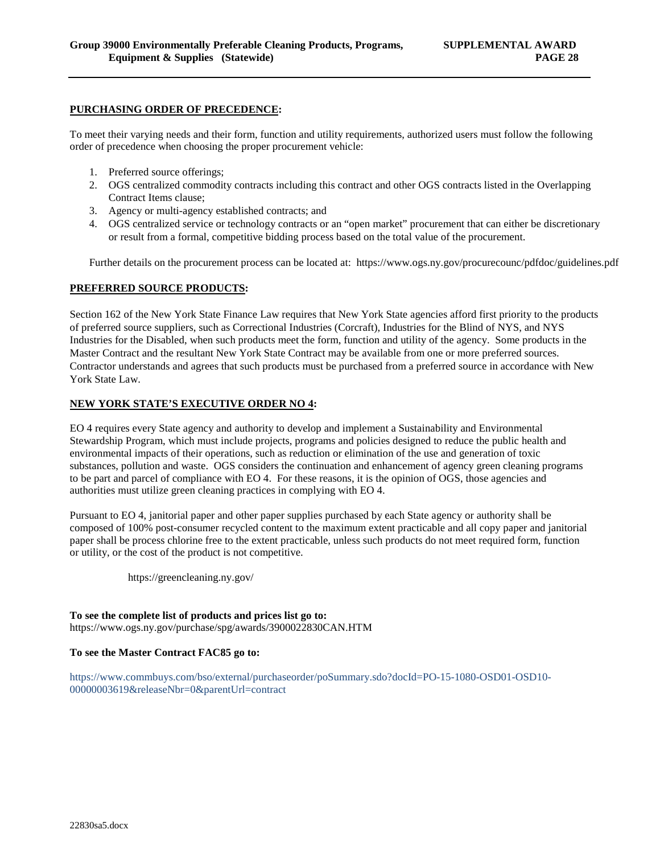#### **PURCHASING ORDER OF PRECEDENCE:**

To meet their varying needs and their form, function and utility requirements, authorized users must follow the following order of precedence when choosing the proper procurement vehicle:

- 1. Preferred source offerings;
- 2. OGS centralized commodity contracts including this contract and other OGS contracts listed in the Overlapping Contract Items clause;
- 3. Agency or multi-agency established contracts; and
- 4. OGS centralized service or technology contracts or an "open market" procurement that can either be discretionary or result from a formal, competitive bidding process based on the total value of the procurement.

Further details on the procurement process can be located at: https://www.ogs.ny.gov/procurecounc/pdfdoc/guidelines.pdf

#### **PREFERRED SOURCE PRODUCTS:**

Section 162 of the New York State Finance Law requires that New York State agencies afford first priority to the products of preferred source suppliers, such as Correctional Industries (Corcraft), Industries for the Blind of NYS, and NYS Industries for the Disabled, when such products meet the form, function and utility of the agency. Some products in the Master Contract and the resultant New York State Contract may be available from one or more preferred sources. Contractor understands and agrees that such products must be purchased from a preferred source in accordance with New York State Law.

#### **NEW YORK STATE'S EXECUTIVE ORDER NO 4:**

EO 4 requires every State agency and authority to develop and implement a Sustainability and Environmental Stewardship Program, which must include projects, programs and policies designed to reduce the public health and environmental impacts of their operations, such as reduction or elimination of the use and generation of toxic substances, pollution and waste. OGS considers the continuation and enhancement of agency green cleaning programs to be part and parcel of compliance with EO 4. For these reasons, it is the opinion of OGS, those agencies and authorities must utilize green cleaning practices in complying with EO 4.

Pursuant to EO 4, janitorial paper and other paper supplies purchased by each State agency or authority shall be composed of 100% post-consumer recycled content to the maximum extent practicable and all copy paper and janitorial paper shall be process chlorine free to the extent practicable, unless such products do not meet required form, function or utility, or the cost of the product is not competitive.

https://greencleaning.ny.gov/

**To see the complete list of products and prices list go to:**  https://www.ogs.ny.gov/purchase/spg/awards/3900022830CAN.HTM

#### **To see the Master Contract FAC85 go to:**

https://www.commbuys.com/bso/external/purchaseorder/poSummary.sdo?docId=PO-15-1080-OSD01-OSD10- 00000003619&releaseNbr=0&parentUrl=contract